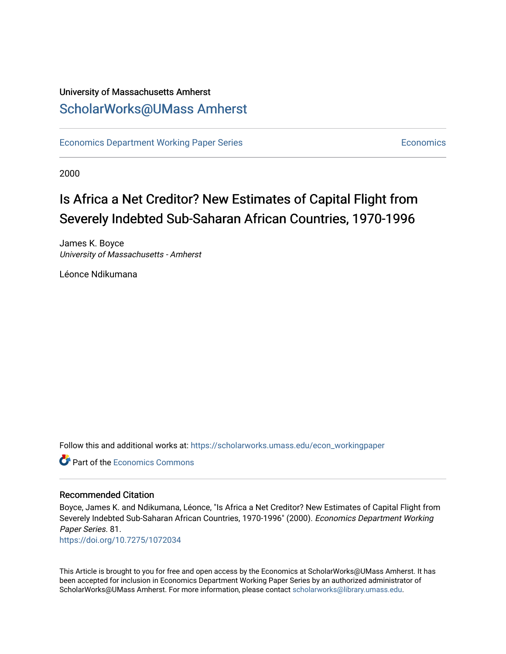## University of Massachusetts Amherst [ScholarWorks@UMass Amherst](https://scholarworks.umass.edu/)

[Economics Department Working Paper Series](https://scholarworks.umass.edu/econ_workingpaper) **Economics** [Economics](https://scholarworks.umass.edu/economics) Economics

2000

# Is Africa a Net Creditor? New Estimates of Capital Flight from Severely Indebted Sub-Saharan African Countries, 1970-1996

James K. Boyce University of Massachusetts - Amherst

Léonce Ndikumana

Follow this and additional works at: [https://scholarworks.umass.edu/econ\\_workingpaper](https://scholarworks.umass.edu/econ_workingpaper?utm_source=scholarworks.umass.edu%2Fecon_workingpaper%2F81&utm_medium=PDF&utm_campaign=PDFCoverPages) 

**C** Part of the [Economics Commons](http://network.bepress.com/hgg/discipline/340?utm_source=scholarworks.umass.edu%2Fecon_workingpaper%2F81&utm_medium=PDF&utm_campaign=PDFCoverPages)

#### Recommended Citation

Boyce, James K. and Ndikumana, Léonce, "Is Africa a Net Creditor? New Estimates of Capital Flight from Severely Indebted Sub-Saharan African Countries, 1970-1996" (2000). Economics Department Working Paper Series. 81.

<https://doi.org/10.7275/1072034>

This Article is brought to you for free and open access by the Economics at ScholarWorks@UMass Amherst. It has been accepted for inclusion in Economics Department Working Paper Series by an authorized administrator of ScholarWorks@UMass Amherst. For more information, please contact [scholarworks@library.umass.edu.](mailto:scholarworks@library.umass.edu)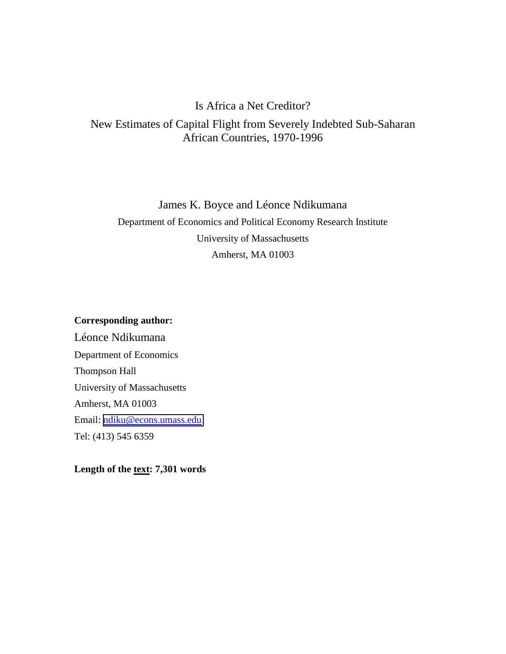## Is Africa a Net Creditor? New Estimates of Capital Flight from Severely Indebted Sub-Saharan African Countries, 1970-1996

James K. Boyce and Léonce Ndikumana Department of Economics and Political Economy Research Institute University of Massachusetts Amherst, MA 01003

**Corresponding author:** 

Léonce Ndikumana Department of Economics Thompson Hall University of Massachusetts Amherst, MA 01003 Email: [ndiku@econs.umass.edu](mailto:ndiku@econs.umass.edu) Tel: (413) 545 6359

**Length of the text: 7,301 words**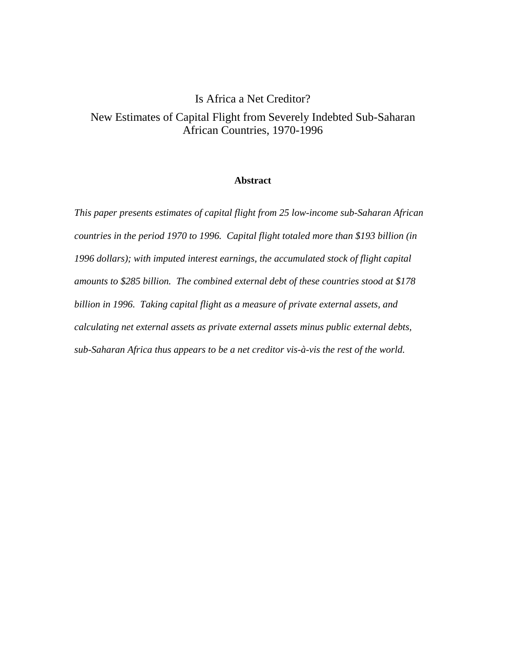## Is Africa a Net Creditor? New Estimates of Capital Flight from Severely Indebted Sub-Saharan African Countries, 1970-1996

#### **Abstract**

*This paper presents estimates of capital flight from 25 low-income sub-Saharan African countries in the period 1970 to 1996. Capital flight totaled more than \$193 billion (in 1996 dollars); with imputed interest earnings, the accumulated stock of flight capital amounts to \$285 billion. The combined external debt of these countries stood at \$178 billion in 1996. Taking capital flight as a measure of private external assets, and calculating net external assets as private external assets minus public external debts, sub-Saharan Africa thus appears to be a net creditor vis-à-vis the rest of the world.*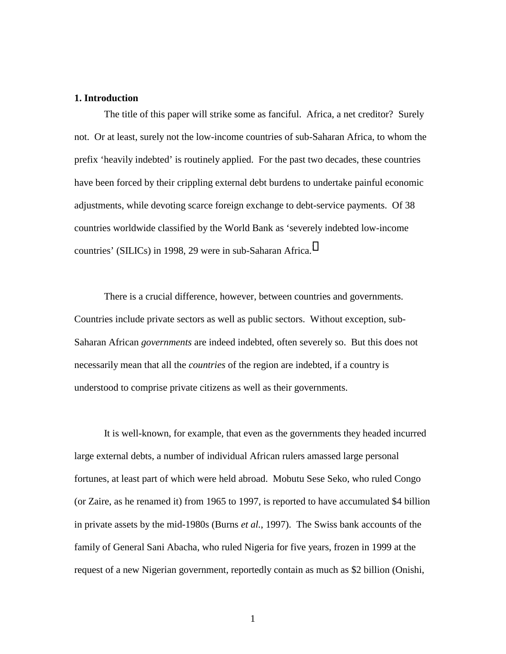#### **1. Introduction**

The title of this paper will strike some as fanciful. Africa, a net creditor? Surely not. Or at least, surely not the low-income countries of sub-Saharan Africa, to whom the prefix 'heavily indebted' is routinely applied. For the past two decades, these countries have been forced by their crippling external debt burdens to undertake painful economic adjustments, while devoting scarce foreign exchange to debt-service payments. Of 38 countries worldwide classified by the World Bank as 'severely indebted low-income countries' (SILICs) in [1](#page-36-0)998, 29 were in sub-Saharan Africa.<sup>1</sup>

There is a crucial difference, however, between countries and governments. Countries include private sectors as well as public sectors. Without exception, sub-Saharan African *governments* are indeed indebted, often severely so. But this does not necessarily mean that all the *countries* of the region are indebted, if a country is understood to comprise private citizens as well as their governments.

It is well-known, for example, that even as the governments they headed incurred large external debts, a number of individual African rulers amassed large personal fortunes, at least part of which were held abroad. Mobutu Sese Seko, who ruled Congo (or Zaire, as he renamed it) from 1965 to 1997, is reported to have accumulated \$4 billion in private assets by the mid-1980s (Burns *et al.*, 1997). The Swiss bank accounts of the family of General Sani Abacha, who ruled Nigeria for five years, frozen in 1999 at the request of a new Nigerian government, reportedly contain as much as \$2 billion (Onishi,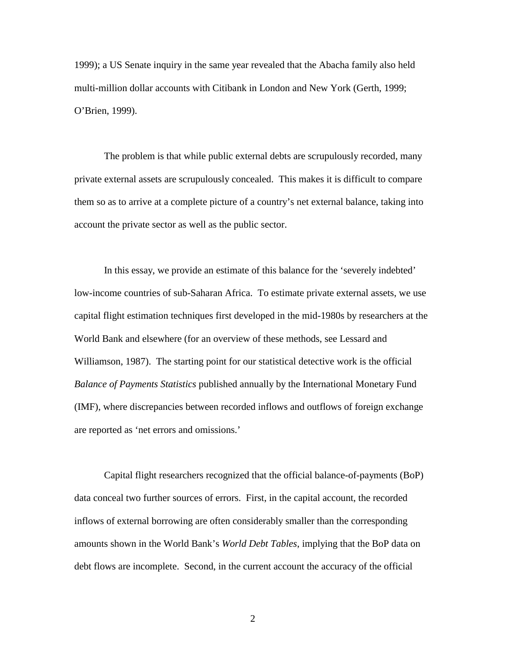1999); a US Senate inquiry in the same year revealed that the Abacha family also held multi-million dollar accounts with Citibank in London and New York (Gerth, 1999; O'Brien, 1999).

The problem is that while public external debts are scrupulously recorded, many private external assets are scrupulously concealed. This makes it is difficult to compare them so as to arrive at a complete picture of a country's net external balance, taking into account the private sector as well as the public sector.

In this essay, we provide an estimate of this balance for the 'severely indebted' low-income countries of sub-Saharan Africa. To estimate private external assets, we use capital flight estimation techniques first developed in the mid-1980s by researchers at the World Bank and elsewhere (for an overview of these methods, see Lessard and Williamson, 1987). The starting point for our statistical detective work is the official *Balance of Payments Statistics* published annually by the International Monetary Fund (IMF), where discrepancies between recorded inflows and outflows of foreign exchange are reported as 'net errors and omissions.'

Capital flight researchers recognized that the official balance-of-payments (BoP) data conceal two further sources of errors. First, in the capital account, the recorded inflows of external borrowing are often considerably smaller than the corresponding amounts shown in the World Bank's *World Debt Tables*, implying that the BoP data on debt flows are incomplete. Second, in the current account the accuracy of the official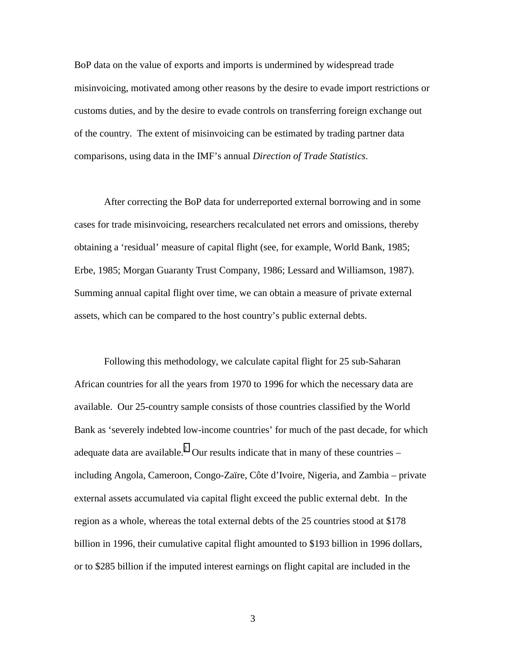BoP data on the value of exports and imports is undermined by widespread trade misinvoicing, motivated among other reasons by the desire to evade import restrictions or customs duties, and by the desire to evade controls on transferring foreign exchange out of the country. The extent of misinvoicing can be estimated by trading partner data comparisons, using data in the IMF's annual *Direction of Trade Statistics*.

After correcting the BoP data for underreported external borrowing and in some cases for trade misinvoicing, researchers recalculated net errors and omissions, thereby obtaining a 'residual' measure of capital flight (see, for example, World Bank, 1985; Erbe, 1985; Morgan Guaranty Trust Company, 1986; Lessard and Williamson, 1987). Summing annual capital flight over time, we can obtain a measure of private external assets, which can be compared to the host country's public external debts.

Following this methodology, we calculate capital flight for 25 sub-Saharan African countries for all the years from 1970 to 1996 for which the necessary data are available. Our 25-country sample consists of those countries classified by the World Bank as 'severely indebted low-income countries' for much of the past decade, for which adequate data are available.<sup>[2](#page-36-0)</sup> Our results indicate that in many of these countries – including Angola, Cameroon, Congo-Zaïre, Côte d'Ivoire, Nigeria, and Zambia – private external assets accumulated via capital flight exceed the public external debt. In the region as a whole, whereas the total external debts of the 25 countries stood at \$178 billion in 1996, their cumulative capital flight amounted to \$193 billion in 1996 dollars, or to \$285 billion if the imputed interest earnings on flight capital are included in the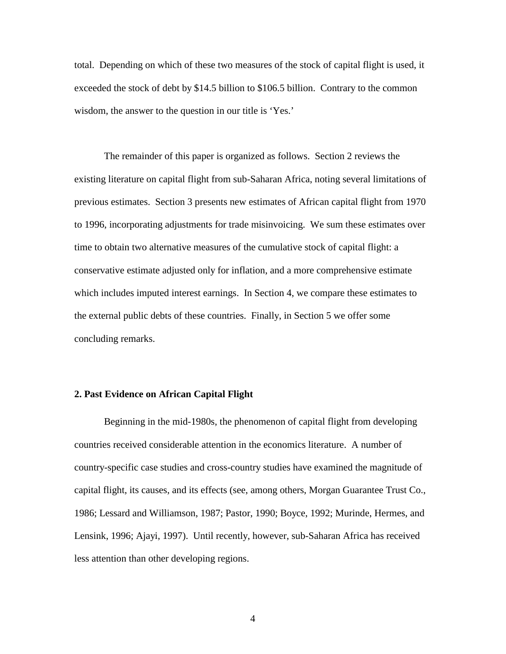total. Depending on which of these two measures of the stock of capital flight is used, it exceeded the stock of debt by \$14.5 billion to \$106.5 billion. Contrary to the common wisdom, the answer to the question in our title is 'Yes.'

The remainder of this paper is organized as follows. Section 2 reviews the existing literature on capital flight from sub-Saharan Africa, noting several limitations of previous estimates. Section 3 presents new estimates of African capital flight from 1970 to 1996, incorporating adjustments for trade misinvoicing. We sum these estimates over time to obtain two alternative measures of the cumulative stock of capital flight: a conservative estimate adjusted only for inflation, and a more comprehensive estimate which includes imputed interest earnings. In Section 4, we compare these estimates to the external public debts of these countries. Finally, in Section 5 we offer some concluding remarks.

#### **2. Past Evidence on African Capital Flight**

 Beginning in the mid-1980s, the phenomenon of capital flight from developing countries received considerable attention in the economics literature. A number of country-specific case studies and cross-country studies have examined the magnitude of capital flight, its causes, and its effects (see, among others, Morgan Guarantee Trust Co., 1986; Lessard and Williamson, 1987; Pastor, 1990; Boyce, 1992; Murinde, Hermes, and Lensink, 1996; Ajayi, 1997). Until recently, however, sub-Saharan Africa has received less attention than other developing regions.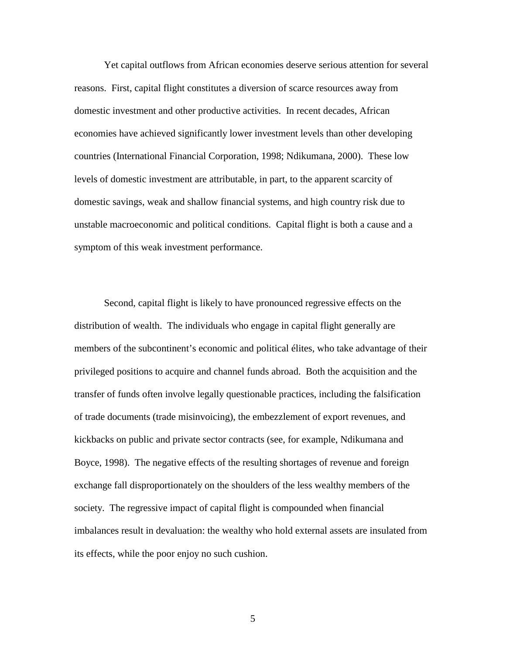Yet capital outflows from African economies deserve serious attention for several reasons. First, capital flight constitutes a diversion of scarce resources away from domestic investment and other productive activities. In recent decades, African economies have achieved significantly lower investment levels than other developing countries (International Financial Corporation, 1998; Ndikumana, 2000). These low levels of domestic investment are attributable, in part, to the apparent scarcity of domestic savings, weak and shallow financial systems, and high country risk due to unstable macroeconomic and political conditions. Capital flight is both a cause and a symptom of this weak investment performance.

 Second, capital flight is likely to have pronounced regressive effects on the distribution of wealth. The individuals who engage in capital flight generally are members of the subcontinent's economic and political élites, who take advantage of their privileged positions to acquire and channel funds abroad. Both the acquisition and the transfer of funds often involve legally questionable practices, including the falsification of trade documents (trade misinvoicing), the embezzlement of export revenues, and kickbacks on public and private sector contracts (see, for example, Ndikumana and Boyce, 1998). The negative effects of the resulting shortages of revenue and foreign exchange fall disproportionately on the shoulders of the less wealthy members of the society. The regressive impact of capital flight is compounded when financial imbalances result in devaluation: the wealthy who hold external assets are insulated from its effects, while the poor enjoy no such cushion.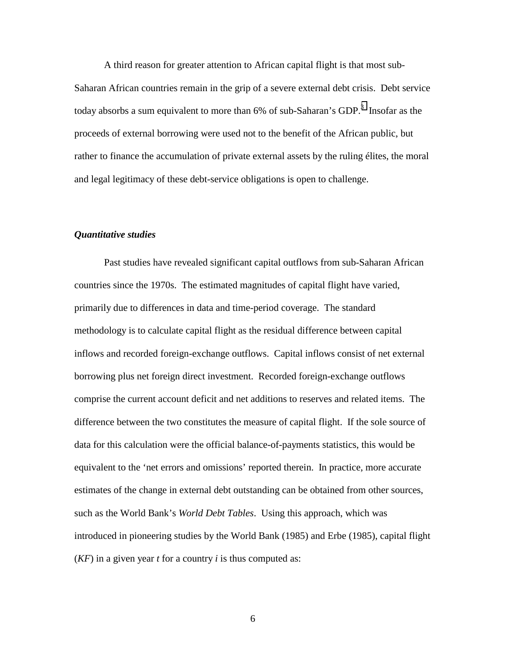A third reason for greater attention to African capital flight is that most sub-Saharan African countries remain in the grip of a severe external debt crisis. Debt service today absorbs a sum equivalent to more than 6% of sub-Saharan's  $GDP<sup>3</sup>$  $GDP<sup>3</sup>$  $GDP<sup>3</sup>$  Insofar as the proceeds of external borrowing were used not to the benefit of the African public, but rather to finance the accumulation of private external assets by the ruling élites, the moral and legal legitimacy of these debt-service obligations is open to challenge.

#### *Quantitative studies*

 Past studies have revealed significant capital outflows from sub-Saharan African countries since the 1970s. The estimated magnitudes of capital flight have varied, primarily due to differences in data and time-period coverage. The standard methodology is to calculate capital flight as the residual difference between capital inflows and recorded foreign-exchange outflows. Capital inflows consist of net external borrowing plus net foreign direct investment. Recorded foreign-exchange outflows comprise the current account deficit and net additions to reserves and related items. The difference between the two constitutes the measure of capital flight. If the sole source of data for this calculation were the official balance-of-payments statistics, this would be equivalent to the 'net errors and omissions' reported therein. In practice, more accurate estimates of the change in external debt outstanding can be obtained from other sources, such as the World Bank's *World Debt Tables*. Using this approach, which was introduced in pioneering studies by the World Bank (1985) and Erbe (1985), capital flight (*KF*) in a given year *t* for a country *i* is thus computed as: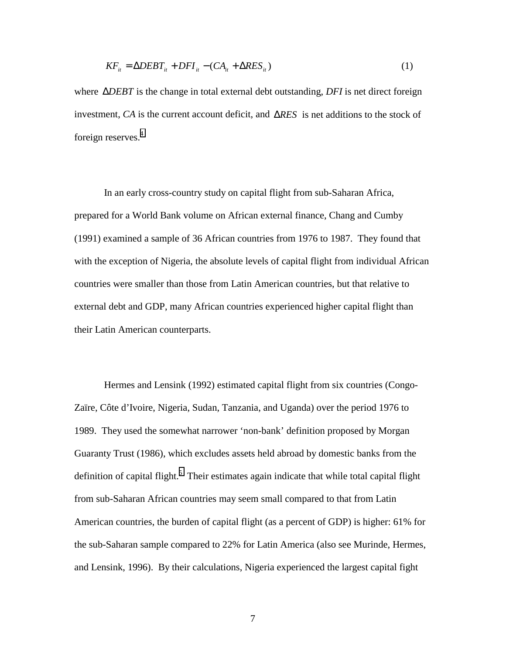$$
KF_{it} = \Delta DEBT_{it} + DFI_{it} - (CA_{it} + \Delta RES_{it})
$$
\n<sup>(1)</sup>

where ∆*DEBT* is the change in total external debt outstanding, *DFI* is net direct foreign investment, *CA* is the current account deficit, and ∆*RES* is net additions to the stock of foreign reserves.<sup>[4](#page-36-0)</sup>

In an early cross-country study on capital flight from sub-Saharan Africa, prepared for a World Bank volume on African external finance, Chang and Cumby (1991) examined a sample of 36 African countries from 1976 to 1987. They found that with the exception of Nigeria, the absolute levels of capital flight from individual African countries were smaller than those from Latin American countries, but that relative to external debt and GDP, many African countries experienced higher capital flight than their Latin American counterparts.

Hermes and Lensink (1992) estimated capital flight from six countries (Congo-Zaïre, Côte d'Ivoire, Nigeria, Sudan, Tanzania, and Uganda) over the period 1976 to 1989. They used the somewhat narrower 'non-bank' definition proposed by Morgan Guaranty Trust (1986), which excludes assets held abroad by domestic banks from the definition of capital flight.<sup>[5](#page-36-0)</sup> Their estimates again indicate that while total capital flight from sub-Saharan African countries may seem small compared to that from Latin American countries, the burden of capital flight (as a percent of GDP) is higher: 61% for the sub-Saharan sample compared to 22% for Latin America (also see Murinde, Hermes, and Lensink, 1996). By their calculations, Nigeria experienced the largest capital fight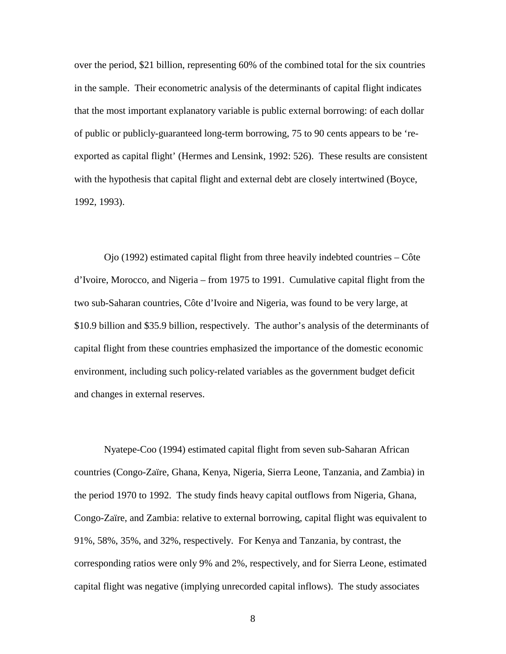over the period, \$21 billion, representing 60% of the combined total for the six countries in the sample. Their econometric analysis of the determinants of capital flight indicates that the most important explanatory variable is public external borrowing: of each dollar of public or publicly-guaranteed long-term borrowing, 75 to 90 cents appears to be 'reexported as capital flight' (Hermes and Lensink, 1992: 526). These results are consistent with the hypothesis that capital flight and external debt are closely intertwined (Boyce, 1992, 1993).

Ojo (1992) estimated capital flight from three heavily indebted countries – Côte d'Ivoire, Morocco, and Nigeria – from 1975 to 1991. Cumulative capital flight from the two sub-Saharan countries, Côte d'Ivoire and Nigeria, was found to be very large, at \$10.9 billion and \$35.9 billion, respectively. The author's analysis of the determinants of capital flight from these countries emphasized the importance of the domestic economic environment, including such policy-related variables as the government budget deficit and changes in external reserves.

Nyatepe-Coo (1994) estimated capital flight from seven sub-Saharan African countries (Congo-Zaïre, Ghana, Kenya, Nigeria, Sierra Leone, Tanzania, and Zambia) in the period 1970 to 1992. The study finds heavy capital outflows from Nigeria, Ghana, Congo-Zaïre, and Zambia: relative to external borrowing, capital flight was equivalent to 91%, 58%, 35%, and 32%, respectively. For Kenya and Tanzania, by contrast, the corresponding ratios were only 9% and 2%, respectively, and for Sierra Leone, estimated capital flight was negative (implying unrecorded capital inflows). The study associates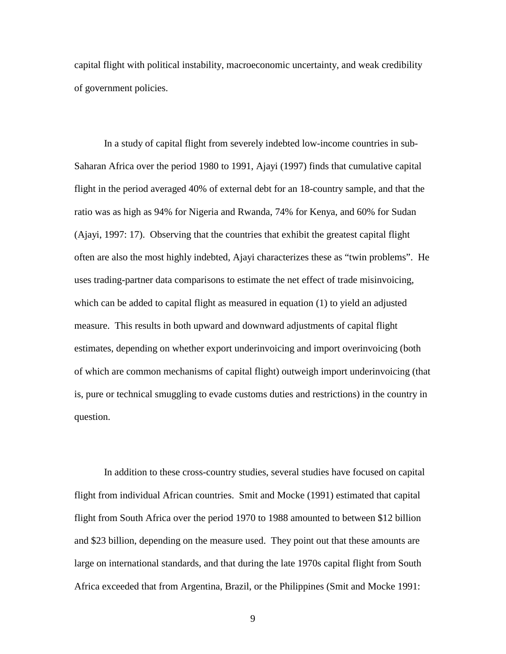capital flight with political instability, macroeconomic uncertainty, and weak credibility of government policies.

In a study of capital flight from severely indebted low-income countries in sub-Saharan Africa over the period 1980 to 1991, Ajayi (1997) finds that cumulative capital flight in the period averaged 40% of external debt for an 18-country sample, and that the ratio was as high as 94% for Nigeria and Rwanda, 74% for Kenya, and 60% for Sudan (Ajayi, 1997: 17). Observing that the countries that exhibit the greatest capital flight often are also the most highly indebted, Ajayi characterizes these as "twin problems". He uses trading-partner data comparisons to estimate the net effect of trade misinvoicing, which can be added to capital flight as measured in equation (1) to yield an adjusted measure. This results in both upward and downward adjustments of capital flight estimates, depending on whether export underinvoicing and import overinvoicing (both of which are common mechanisms of capital flight) outweigh import underinvoicing (that is, pure or technical smuggling to evade customs duties and restrictions) in the country in question.

In addition to these cross-country studies, several studies have focused on capital flight from individual African countries. Smit and Mocke (1991) estimated that capital flight from South Africa over the period 1970 to 1988 amounted to between \$12 billion and \$23 billion, depending on the measure used. They point out that these amounts are large on international standards, and that during the late 1970s capital flight from South Africa exceeded that from Argentina, Brazil, or the Philippines (Smit and Mocke 1991: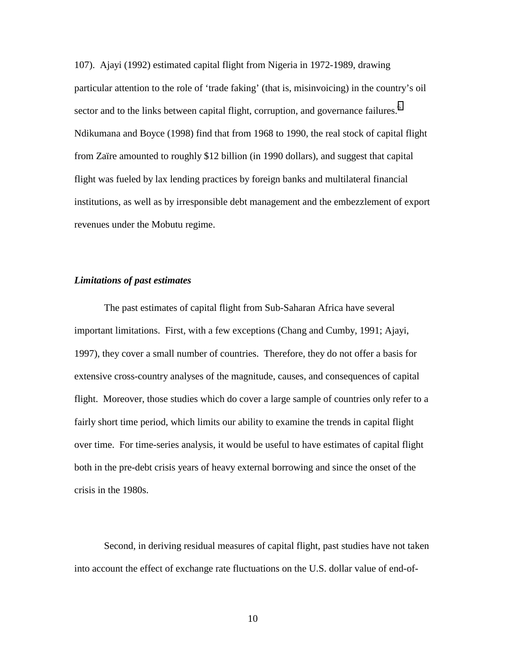107). Ajayi (1992) estimated capital flight from Nigeria in 1972-1989, drawing particular attention to the role of 'trade faking' (that is, misinvoicing) in the country's oil sector and to the links between capital flight, corruption, and governance failures.<sup>[6](#page-36-0)</sup> Ndikumana and Boyce (1998) find that from 1968 to 1990, the real stock of capital flight from Zaïre amounted to roughly \$12 billion (in 1990 dollars), and suggest that capital flight was fueled by lax lending practices by foreign banks and multilateral financial institutions, as well as by irresponsible debt management and the embezzlement of export revenues under the Mobutu regime.

#### *Limitations of past estimates*

 The past estimates of capital flight from Sub-Saharan Africa have several important limitations. First, with a few exceptions (Chang and Cumby, 1991; Ajayi, 1997), they cover a small number of countries. Therefore, they do not offer a basis for extensive cross-country analyses of the magnitude, causes, and consequences of capital flight. Moreover, those studies which do cover a large sample of countries only refer to a fairly short time period, which limits our ability to examine the trends in capital flight over time. For time-series analysis, it would be useful to have estimates of capital flight both in the pre-debt crisis years of heavy external borrowing and since the onset of the crisis in the 1980s.

 Second, in deriving residual measures of capital flight, past studies have not taken into account the effect of exchange rate fluctuations on the U.S. dollar value of end-of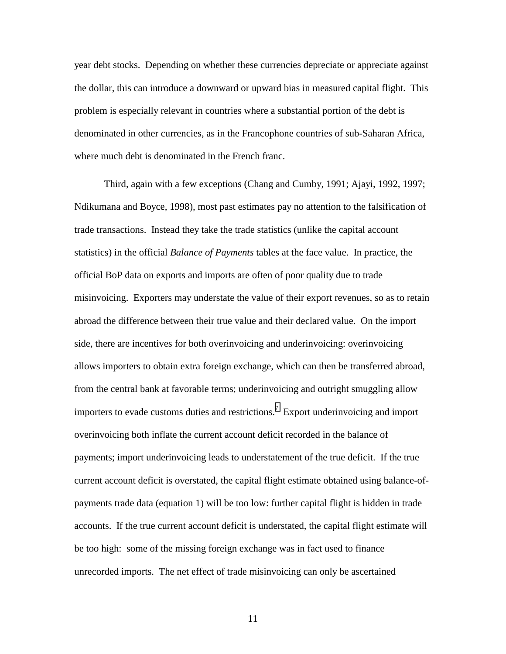year debt stocks. Depending on whether these currencies depreciate or appreciate against the dollar, this can introduce a downward or upward bias in measured capital flight. This problem is especially relevant in countries where a substantial portion of the debt is denominated in other currencies, as in the Francophone countries of sub-Saharan Africa, where much debt is denominated in the French franc.

 Third, again with a few exceptions (Chang and Cumby, 1991; Ajayi, 1992, 1997; Ndikumana and Boyce, 1998), most past estimates pay no attention to the falsification of trade transactions. Instead they take the trade statistics (unlike the capital account statistics) in the official *Balance of Payments* tables at the face value. In practice, the official BoP data on exports and imports are often of poor quality due to trade misinvoicing. Exporters may understate the value of their export revenues, so as to retain abroad the difference between their true value and their declared value. On the import side, there are incentives for both overinvoicing and underinvoicing: overinvoicing allows importers to obtain extra foreign exchange, which can then be transferred abroad, from the central bank at favorable terms; underinvoicing and outright smuggling allow importers to evade customs duties and restrictions.<sup>[7](#page-36-0)</sup> Export underinvoicing and import overinvoicing both inflate the current account deficit recorded in the balance of payments; import underinvoicing leads to understatement of the true deficit. If the true current account deficit is overstated, the capital flight estimate obtained using balance-ofpayments trade data (equation 1) will be too low: further capital flight is hidden in trade accounts. If the true current account deficit is understated, the capital flight estimate will be too high: some of the missing foreign exchange was in fact used to finance unrecorded imports. The net effect of trade misinvoicing can only be ascertained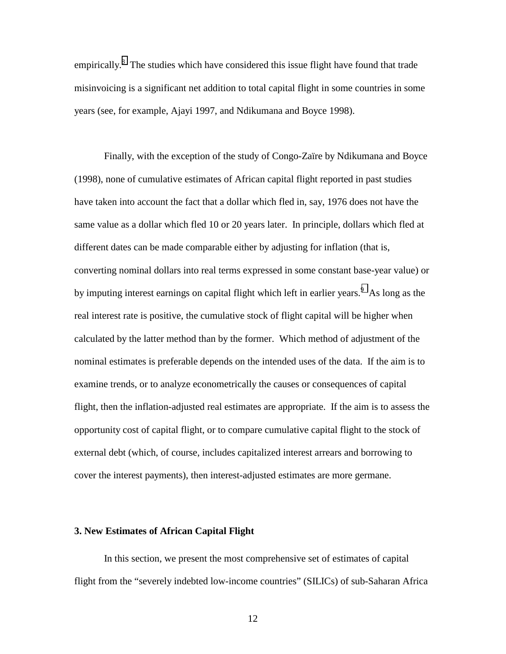empirically.<sup>[8](#page-36-0)</sup> The studies which have considered this issue flight have found that trade misinvoicing is a significant net addition to total capital flight in some countries in some years (see, for example, Ajayi 1997, and Ndikumana and Boyce 1998).

 Finally, with the exception of the study of Congo-Zaïre by Ndikumana and Boyce (1998), none of cumulative estimates of African capital flight reported in past studies have taken into account the fact that a dollar which fled in, say, 1976 does not have the same value as a dollar which fled 10 or 20 years later. In principle, dollars which fled at different dates can be made comparable either by adjusting for inflation (that is, converting nominal dollars into real terms expressed in some constant base-year value) or byimputing interest earnings on capital flight which left in earlier years. $\degree$  As long as the real interest rate is positive, the cumulative stock of flight capital will be higher when calculated by the latter method than by the former. Which method of adjustment of the nominal estimates is preferable depends on the intended uses of the data. If the aim is to examine trends, or to analyze econometrically the causes or consequences of capital flight, then the inflation-adjusted real estimates are appropriate. If the aim is to assess the opportunity cost of capital flight, or to compare cumulative capital flight to the stock of external debt (which, of course, includes capitalized interest arrears and borrowing to cover the interest payments), then interest-adjusted estimates are more germane.

## **3. New Estimates of African Capital Flight**

 In this section, we present the most comprehensive set of estimates of capital flight from the "severely indebted low-income countries" (SILICs) of sub-Saharan Africa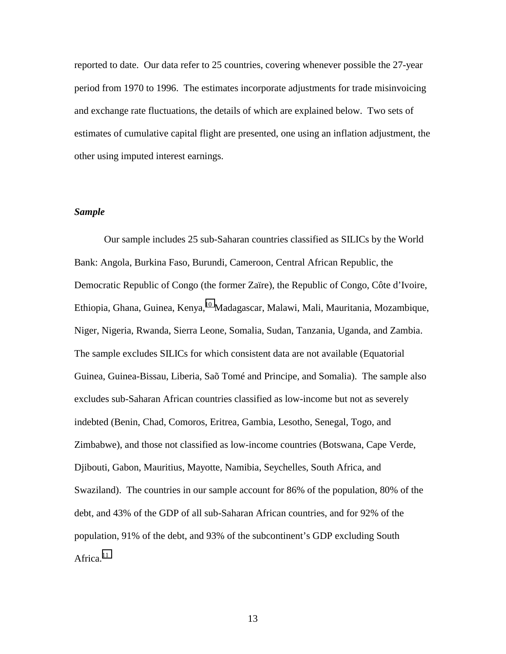reported to date. Our data refer to 25 countries, covering whenever possible the 27-year period from 1970 to 1996. The estimates incorporate adjustments for trade misinvoicing and exchange rate fluctuations, the details of which are explained below. Two sets of estimates of cumulative capital flight are presented, one using an inflation adjustment, the other using imputed interest earnings.

#### *Sample*

Our sample includes 25 sub-Saharan countries classified as SILICs by the World Bank: Angola, Burkina Faso, Burundi, Cameroon, Central African Republic, the Democratic Republic of Congo (the former Zaïre), the Republic of Congo, Côte d'Ivoire, Ethiopia, Ghana, Guinea, Kenya,<sup>10</sup> Madagascar, Malawi, Mali, Mauritania, Mozambique, Niger, Nigeria, Rwanda, Sierra Leone, Somalia, Sudan, Tanzania, Uganda, and Zambia. The sample excludes SILICs for which consistent data are not available (Equatorial Guinea, Guinea-Bissau, Liberia, Saõ Tomé and Principe, and Somalia). The sample also excludes sub-Saharan African countries classified as low-income but not as severely indebted (Benin, Chad, Comoros, Eritrea, Gambia, Lesotho, Senegal, Togo, and Zimbabwe), and those not classified as low-income countries (Botswana, Cape Verde, Djibouti, Gabon, Mauritius, Mayotte, Namibia, Seychelles, South Africa, and Swaziland). The countries in our sample account for 86% of the population, 80% of the debt, and 43% of the GDP of all sub-Saharan African countries, and for 92% of the population, 91% of the debt, and 93% of the subcontinent's GDP excluding South Africa. $11$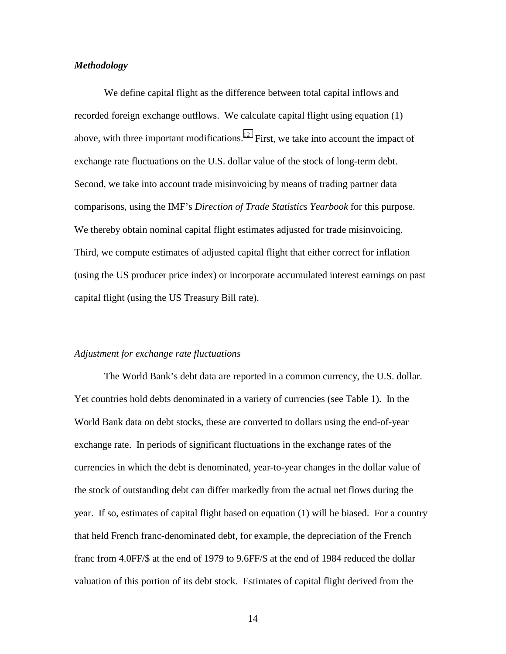#### *Methodology*

We define capital flight as the difference between total capital inflows and recorded foreign exchange outflows. We calculate capital flight using equation (1) above, with three important modifications.<sup>12</sup> First, we take into account the impact of exchange rate fluctuations on the U.S. dollar value of the stock of long-term debt. Second, we take into account trade misinvoicing by means of trading partner data comparisons, using the IMF's *Direction of Trade Statistics Yearbook* for this purpose. We thereby obtain nominal capital flight estimates adjusted for trade misinvoicing. Third, we compute estimates of adjusted capital flight that either correct for inflation (using the US producer price index) or incorporate accumulated interest earnings on past capital flight (using the US Treasury Bill rate).

#### *Adjustment for exchange rate fluctuations*

The World Bank's debt data are reported in a common currency, the U.S. dollar. Yet countries hold debts denominated in a variety of currencies (see Table 1). In the World Bank data on debt stocks, these are converted to dollars using the end-of-year exchange rate. In periods of significant fluctuations in the exchange rates of the currencies in which the debt is denominated, year-to-year changes in the dollar value of the stock of outstanding debt can differ markedly from the actual net flows during the year. If so, estimates of capital flight based on equation (1) will be biased. For a country that held French franc-denominated debt, for example, the depreciation of the French franc from 4.0FF/\$ at the end of 1979 to 9.6FF/\$ at the end of 1984 reduced the dollar valuation of this portion of its debt stock. Estimates of capital flight derived from the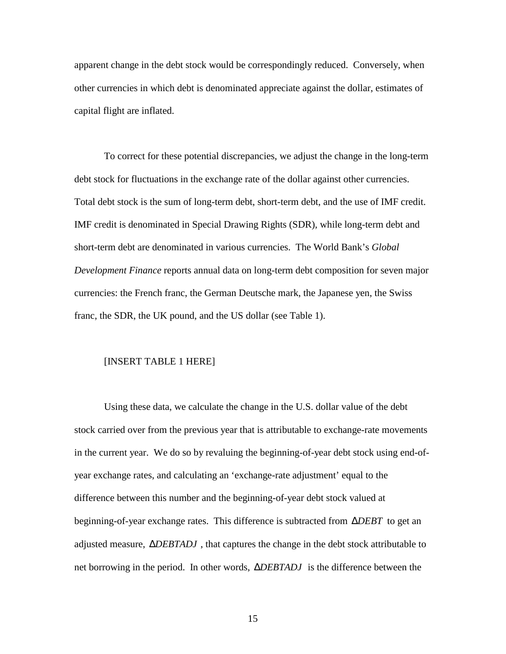apparent change in the debt stock would be correspondingly reduced. Conversely, when other currencies in which debt is denominated appreciate against the dollar, estimates of capital flight are inflated.

To correct for these potential discrepancies, we adjust the change in the long-term debt stock for fluctuations in the exchange rate of the dollar against other currencies. Total debt stock is the sum of long-term debt, short-term debt, and the use of IMF credit. IMF credit is denominated in Special Drawing Rights (SDR), while long-term debt and short-term debt are denominated in various currencies. The World Bank's *Global Development Finance* reports annual data on long-term debt composition for seven major currencies: the French franc, the German Deutsche mark, the Japanese yen, the Swiss franc, the SDR, the UK pound, and the US dollar (see Table 1).

#### [INSERT TABLE 1 HERE]

Using these data, we calculate the change in the U.S. dollar value of the debt stock carried over from the previous year that is attributable to exchange-rate movements in the current year. We do so by revaluing the beginning-of-year debt stock using end-ofyear exchange rates, and calculating an 'exchange-rate adjustment' equal to the difference between this number and the beginning-of-year debt stock valued at beginning-of-year exchange rates. This difference is subtracted from ∆*DEBT* to get an adjusted measure, ∆*DEBTADJ* , that captures the change in the debt stock attributable to net borrowing in the period. In other words, ∆*DEBTADJ* is the difference between the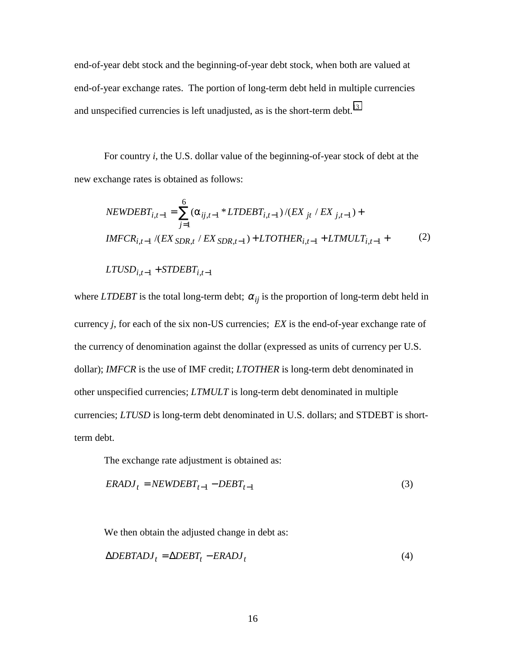end-of-year debt stock and the beginning-of-year debt stock, when both are valued at end-of-year exchange rates. The portion of long-term debt held in multiple currencies and unspecified currencies is left unadjusted, as is the short-term debt.<sup>[13](#page-36-0)</sup>

For country *i*, the U.S. dollar value of the beginning-of-year stock of debt at the new exchange rates is obtained as follows:

$$
NEWDEBT_{i,t-1} = \sum_{j=1}^{6} (\alpha_{ij,t-1} * LTDEBT_{i,t-1}) / (EX_{jt} / EX_{j,t-1}) +
$$
  
\n
$$
IMFCR_{i,t-1} / (EX_{SDR,t} / EX_{SDR,t-1}) + LTOTHER_{i,t-1} + LTMULT_{i,t-1} +
$$
  
\n
$$
LTUSD_{i,t-1} + STDEBT_{i,t-1}
$$
 (2)

where *LTDEBT* is the total long-term debt;  $\alpha_{ij}$  is the proportion of long-term debt held in currency *j*, for each of the six non-US currencies; *EX* is the end-of-year exchange rate of the currency of denomination against the dollar (expressed as units of currency per U.S. dollar); *IMFCR* is the use of IMF credit; *LTOTHER* is long-term debt denominated in other unspecified currencies; *LTMULT* is long-term debt denominated in multiple currencies; *LTUSD* is long-term debt denominated in U.S. dollars; and STDEBT is shortterm debt.

The exchange rate adjustment is obtained as:

$$
ERADJ_t = NEWDEBT_{t-1} - DEBT_{t-1}
$$
\n(3)

We then obtain the adjusted change in debt as:

$$
\Delta DEBTADI_t = \Delta DEBT_t - ERADI_t \tag{4}
$$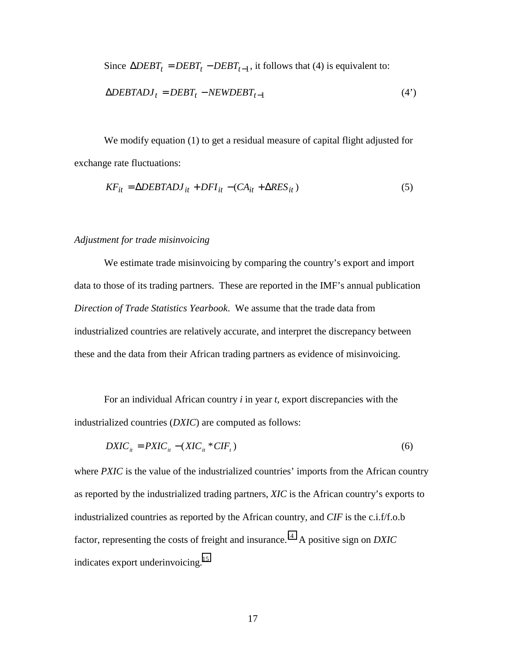Since  $\triangle DEBT_t = DEBT_t - DEBT_{t-1}$ , it follows that (4) is equivalent to:

$$
\Delta DEBTADI_t = DEBT_t - NEWDEBT_{t-1} \tag{4'}
$$

We modify equation (1) to get a residual measure of capital flight adjusted for exchange rate fluctuations:

$$
KF_{it} = \Delta DEBTADI_{it} + DFI_{it} - (CA_{it} + \Delta RES_{it})
$$
\n<sup>(5)</sup>

#### *Adjustment for trade misinvoicing*

We estimate trade misinvoicing by comparing the country's export and import data to those of its trading partners. These are reported in the IMF's annual publication *Direction of Trade Statistics Yearbook*. We assume that the trade data from industrialized countries are relatively accurate, and interpret the discrepancy between these and the data from their African trading partners as evidence of misinvoicing.

 For an individual African country *i* in year *t,* export discrepancies with the industrialized countries (*DXIC*) are computed as follows:

$$
DXIC_{it} = PXIC_{it} - (XIC_{it} *CIF_{t})
$$
\n
$$
(6)
$$

where *PXIC* is the value of the industrialized countries' imports from the African country as reported by the industrialized trading partners, *XIC* is the African country's exports to industrialized countries as reported by the African country, and *CIF* is the c.i.f/f.o.b factor, representing the costs of freight and insurance.[14](#page-36-0) A positive sign on *DXIC* indicates export underinvoicing.<sup>[15](#page-36-0)</sup>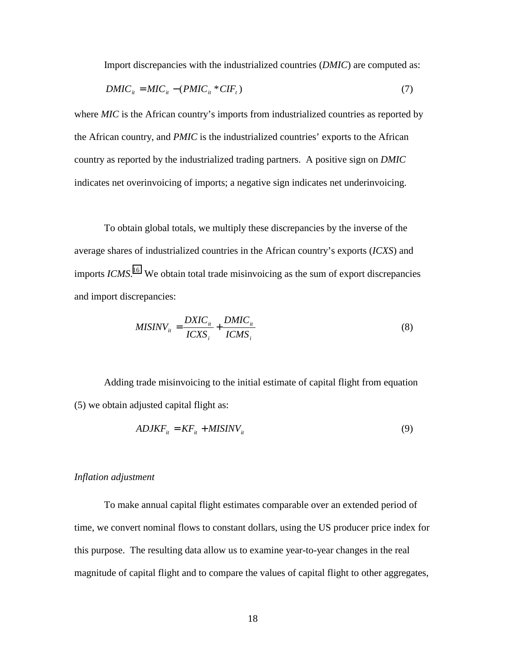Import discrepancies with the industrialized countries (*DMIC*) are computed as:

$$
DMIC_{it} = MIC_{it} - (PMIC_{it} *CIF_t)
$$
\n
$$
(7)
$$

where *MIC* is the African country's imports from industrialized countries as reported by the African country, and *PMIC* is the industrialized countries' exports to the African country as reported by the industrialized trading partners. A positive sign on *DMIC* indicates net overinvoicing of imports; a negative sign indicates net underinvoicing.

 To obtain global totals, we multiply these discrepancies by the inverse of the average shares of industrialized countries in the African country's exports (*ICXS*) and imports *ICMS*.<sup>16</sup> We obtain total trade misinvoicing as the sum of export discrepancies and import discrepancies:

$$
MISINV_{ii} = \frac{DXIC_{ii}}{ICXS_i} + \frac{DMIC_{ii}}{ICMS_i}
$$
\n(8)

Adding trade misinvoicing to the initial estimate of capital flight from equation (5) we obtain adjusted capital flight as:

$$
ADJKF_{it} = KF_{it} + MISINV_{it} \tag{9}
$$

#### *Inflation adjustment*

To make annual capital flight estimates comparable over an extended period of time, we convert nominal flows to constant dollars, using the US producer price index for this purpose. The resulting data allow us to examine year-to-year changes in the real magnitude of capital flight and to compare the values of capital flight to other aggregates,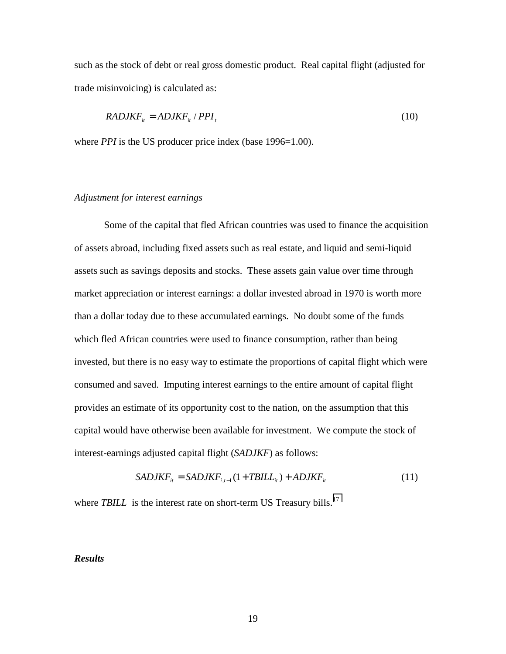such as the stock of debt or real gross domestic product. Real capital flight (adjusted for trade misinvoicing) is calculated as:

$$
RADJKF_{it} = ADJKF_{it}/PPI_t
$$
\n(10)

where *PPI* is the US producer price index (base 1996=1.00).

#### *Adjustment for interest earnings*

 Some of the capital that fled African countries was used to finance the acquisition of assets abroad, including fixed assets such as real estate, and liquid and semi-liquid assets such as savings deposits and stocks. These assets gain value over time through market appreciation or interest earnings: a dollar invested abroad in 1970 is worth more than a dollar today due to these accumulated earnings. No doubt some of the funds which fled African countries were used to finance consumption, rather than being invested, but there is no easy way to estimate the proportions of capital flight which were consumed and saved. Imputing interest earnings to the entire amount of capital flight provides an estimate of its opportunity cost to the nation, on the assumption that this capital would have otherwise been available for investment. We compute the stock of interest-earnings adjusted capital flight (*SADJKF*) as follows:

$$
SADJKF_{ii} = SADJKF_{i,t-1}(1+TBILL_{ii}) + ADJKF_{ii}
$$
\n
$$
(11)
$$

where *TBILL* is the interest rate on short-term US Treasury bills.<sup>[17](#page-36-0)</sup>

### *Results*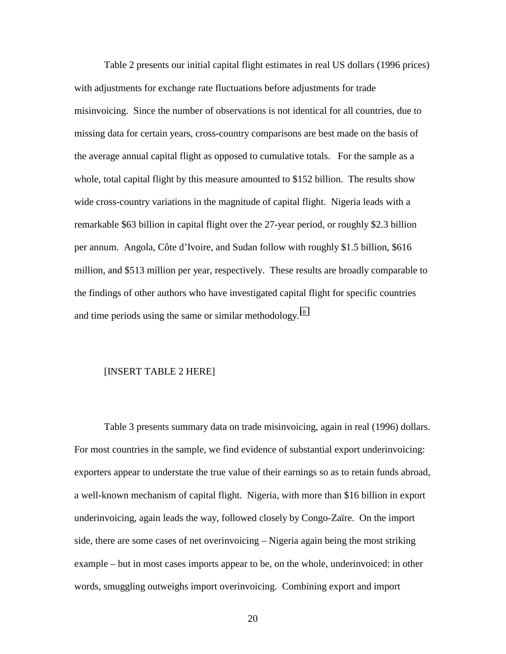Table 2 presents our initial capital flight estimates in real US dollars (1996 prices) with adjustments for exchange rate fluctuations before adjustments for trade misinvoicing. Since the number of observations is not identical for all countries, due to missing data for certain years, cross-country comparisons are best made on the basis of the average annual capital flight as opposed to cumulative totals. For the sample as a whole, total capital flight by this measure amounted to \$152 billion. The results show wide cross-country variations in the magnitude of capital flight. Nigeria leads with a remarkable \$63 billion in capital flight over the 27-year period, or roughly \$2.3 billion per annum. Angola, Côte d'Ivoire, and Sudan follow with roughly \$1.5 billion, \$616 million, and \$513 million per year, respectively. These results are broadly comparable to the findings of other authors who have investigated capital flight for specific countries and time periods using the same or similar methodology.<sup>[18](#page-36-0)</sup>

#### [INSERT TABLE 2 HERE]

 Table 3 presents summary data on trade misinvoicing, again in real (1996) dollars. For most countries in the sample, we find evidence of substantial export underinvoicing: exporters appear to understate the true value of their earnings so as to retain funds abroad, a well-known mechanism of capital flight. Nigeria, with more than \$16 billion in export underinvoicing, again leads the way, followed closely by Congo-Zaïre. On the import side, there are some cases of net overinvoicing – Nigeria again being the most striking example – but in most cases imports appear to be, on the whole, underinvoiced: in other words, smuggling outweighs import overinvoicing. Combining export and import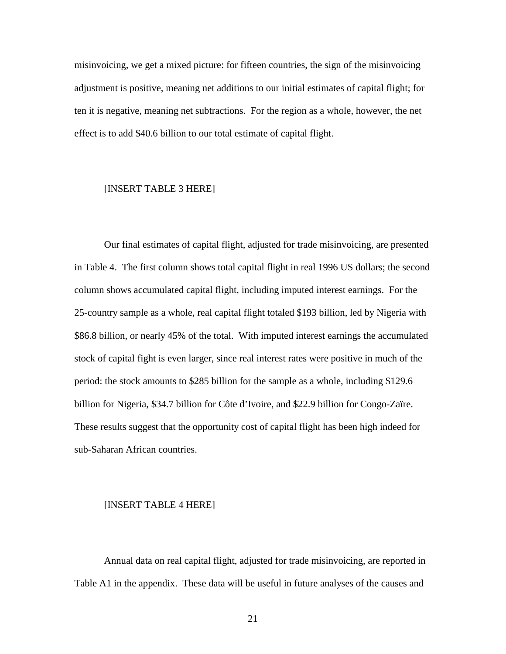misinvoicing, we get a mixed picture: for fifteen countries, the sign of the misinvoicing adjustment is positive, meaning net additions to our initial estimates of capital flight; for ten it is negative, meaning net subtractions. For the region as a whole, however, the net effect is to add \$40.6 billion to our total estimate of capital flight.

#### [INSERT TABLE 3 HERE]

 Our final estimates of capital flight, adjusted for trade misinvoicing, are presented in Table 4. The first column shows total capital flight in real 1996 US dollars; the second column shows accumulated capital flight, including imputed interest earnings. For the 25-country sample as a whole, real capital flight totaled \$193 billion, led by Nigeria with \$86.8 billion, or nearly 45% of the total. With imputed interest earnings the accumulated stock of capital fight is even larger, since real interest rates were positive in much of the period: the stock amounts to \$285 billion for the sample as a whole, including \$129.6 billion for Nigeria, \$34.7 billion for Côte d'Ivoire, and \$22.9 billion for Congo-Zaïre. These results suggest that the opportunity cost of capital flight has been high indeed for sub-Saharan African countries.

#### [INSERT TABLE 4 HERE]

 Annual data on real capital flight, adjusted for trade misinvoicing, are reported in Table A1 in the appendix. These data will be useful in future analyses of the causes and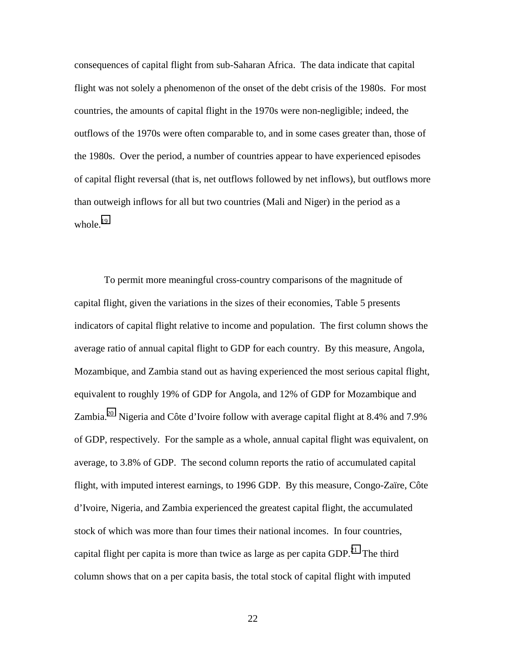consequences of capital flight from sub-Saharan Africa. The data indicate that capital flight was not solely a phenomenon of the onset of the debt crisis of the 1980s. For most countries, the amounts of capital flight in the 1970s were non-negligible; indeed, the outflows of the 1970s were often comparable to, and in some cases greater than, those of the 1980s. Over the period, a number of countries appear to have experienced episodes of capital flight reversal (that is, net outflows followed by net inflows), but outflows more than outweigh inflows for all but two countries (Mali and Niger) in the period as a whole. $19$ 

 To permit more meaningful cross-country comparisons of the magnitude of capital flight, given the variations in the sizes of their economies, Table 5 presents indicators of capital flight relative to income and population. The first column shows the average ratio of annual capital flight to GDP for each country. By this measure, Angola, Mozambique, and Zambia stand out as having experienced the most serious capital flight, equivalent to roughly 19% of GDP for Angola, and 12% of GDP for Mozambique and Zambia.<sup>20</sup> Nigeria and Côte d'Ivoire follow with average capital flight at 8.4% and 7.9% of GDP, respectively. For the sample as a whole, annual capital flight was equivalent, on average, to 3.8% of GDP. The second column reports the ratio of accumulated capital flight, with imputed interest earnings, to 1996 GDP. By this measure, Congo-Zaïre, Côte d'Ivoire, Nigeria, and Zambia experienced the greatest capital flight, the accumulated stock of which was more than four times their national incomes. In four countries, capital flight per capita is more than twice as large as per capita GDP.<sup>21</sup> The third column shows that on a per capita basis, the total stock of capital flight with imputed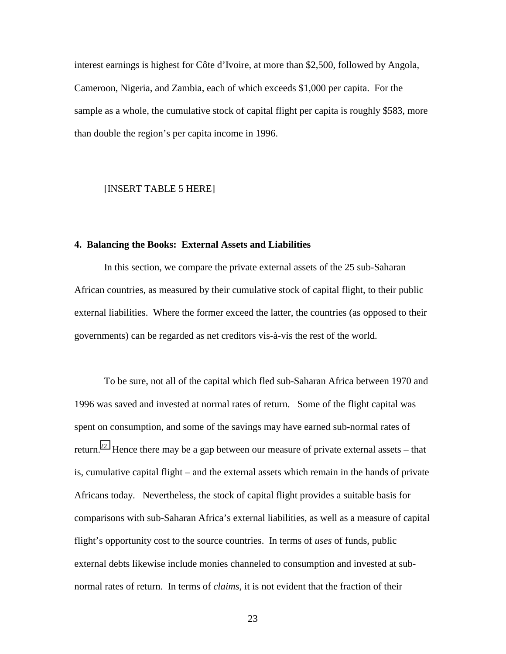interest earnings is highest for Côte d'Ivoire, at more than \$2,500, followed by Angola, Cameroon, Nigeria, and Zambia, each of which exceeds \$1,000 per capita. For the sample as a whole, the cumulative stock of capital flight per capita is roughly \$583, more than double the region's per capita income in 1996.

## [INSERT TABLE 5 HERE]

#### **4. Balancing the Books: External Assets and Liabilities**

In this section, we compare the private external assets of the 25 sub-Saharan African countries, as measured by their cumulative stock of capital flight, to their public external liabilities. Where the former exceed the latter, the countries (as opposed to their governments) can be regarded as net creditors vis-à-vis the rest of the world.

To be sure, not all of the capital which fled sub-Saharan Africa between 1970 and 1996 was saved and invested at normal rates of return. Some of the flight capital was spent on consumption, and some of the savings may have earned sub-normal rates of return.<sup>22</sup> Hence there may be a gap between our measure of private external assets – that is, cumulative capital flight – and the external assets which remain in the hands of private Africans today. Nevertheless, the stock of capital flight provides a suitable basis for comparisons with sub-Saharan Africa's external liabilities, as well as a measure of capital flight's opportunity cost to the source countries. In terms of *uses* of funds, public external debts likewise include monies channeled to consumption and invested at subnormal rates of return. In terms of *claims*, it is not evident that the fraction of their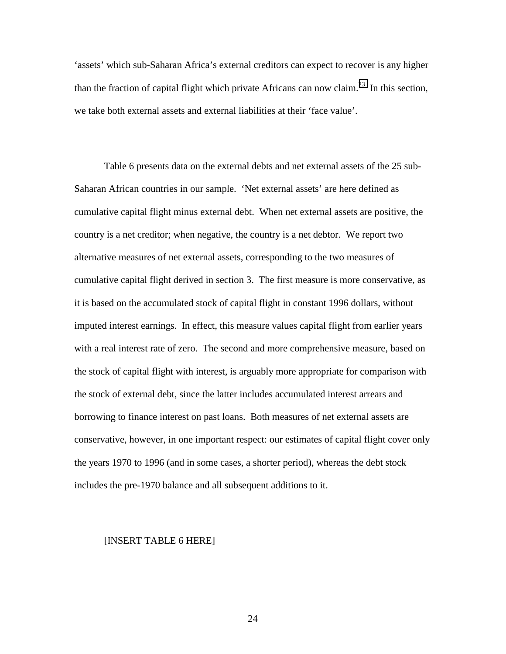'assets' which sub-Saharan Africa's external creditors can expect to recover is any higher than the fraction of capital flight which private Africans can now claim.<sup>23</sup> In this section, we take both external assets and external liabilities at their 'face value'.

Table 6 presents data on the external debts and net external assets of the 25 sub-Saharan African countries in our sample. 'Net external assets' are here defined as cumulative capital flight minus external debt. When net external assets are positive, the country is a net creditor; when negative, the country is a net debtor. We report two alternative measures of net external assets, corresponding to the two measures of cumulative capital flight derived in section 3. The first measure is more conservative, as it is based on the accumulated stock of capital flight in constant 1996 dollars, without imputed interest earnings. In effect, this measure values capital flight from earlier years with a real interest rate of zero. The second and more comprehensive measure, based on the stock of capital flight with interest, is arguably more appropriate for comparison with the stock of external debt, since the latter includes accumulated interest arrears and borrowing to finance interest on past loans. Both measures of net external assets are conservative, however, in one important respect: our estimates of capital flight cover only the years 1970 to 1996 (and in some cases, a shorter period), whereas the debt stock includes the pre-1970 balance and all subsequent additions to it.

#### [INSERT TABLE 6 HERE]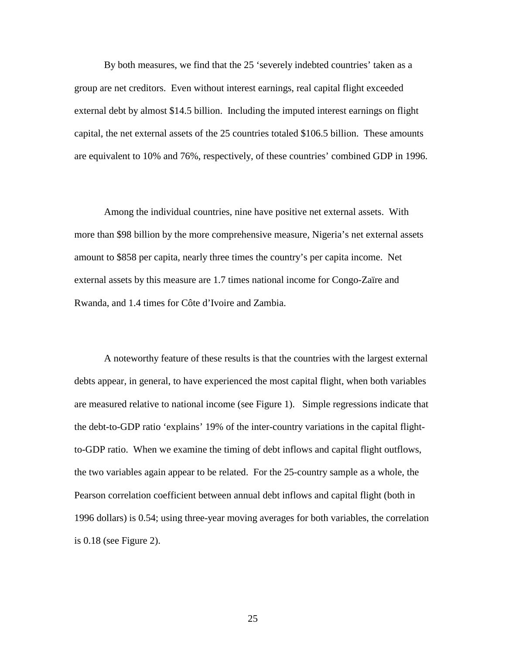By both measures, we find that the 25 'severely indebted countries' taken as a group are net creditors. Even without interest earnings, real capital flight exceeded external debt by almost \$14.5 billion. Including the imputed interest earnings on flight capital, the net external assets of the 25 countries totaled \$106.5 billion. These amounts are equivalent to 10% and 76%, respectively, of these countries' combined GDP in 1996.

Among the individual countries, nine have positive net external assets. With more than \$98 billion by the more comprehensive measure, Nigeria's net external assets amount to \$858 per capita, nearly three times the country's per capita income. Net external assets by this measure are 1.7 times national income for Congo-Zaïre and Rwanda, and 1.4 times for Côte d'Ivoire and Zambia.

A noteworthy feature of these results is that the countries with the largest external debts appear, in general, to have experienced the most capital flight, when both variables are measured relative to national income (see Figure 1). Simple regressions indicate that the debt-to-GDP ratio 'explains' 19% of the inter-country variations in the capital flightto-GDP ratio. When we examine the timing of debt inflows and capital flight outflows, the two variables again appear to be related. For the 25-country sample as a whole, the Pearson correlation coefficient between annual debt inflows and capital flight (both in 1996 dollars) is 0.54; using three-year moving averages for both variables, the correlation is 0.18 (see Figure 2).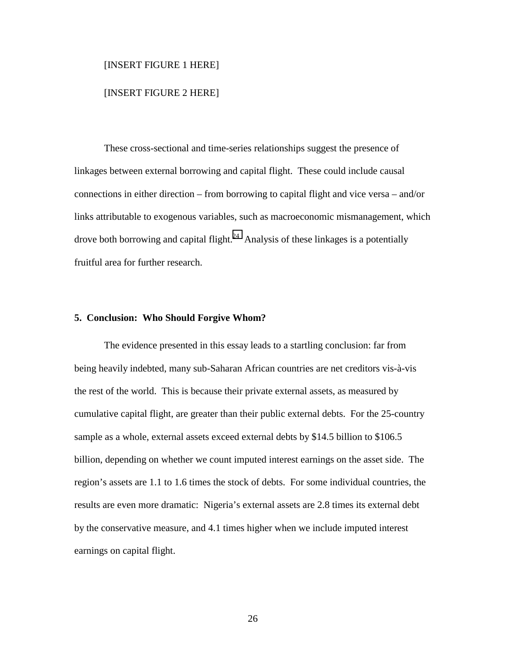#### [INSERT FIGURE 1 HERE]

#### [INSERT FIGURE 2 HERE]

These cross-sectional and time-series relationships suggest the presence of linkages between external borrowing and capital flight. These could include causal connections in either direction – from borrowing to capital flight and vice versa – and/or links attributable to exogenous variables, such as macroeconomic mismanagement, which drove both borrowing and capital flight.<sup>24</sup> Analysis of these linkages is a potentially fruitful area for further research.

#### **5. Conclusion: Who Should Forgive Whom?**

The evidence presented in this essay leads to a startling conclusion: far from being heavily indebted, many sub-Saharan African countries are net creditors vis-à-vis the rest of the world. This is because their private external assets, as measured by cumulative capital flight, are greater than their public external debts. For the 25-country sample as a whole, external assets exceed external debts by \$14.5 billion to \$106.5 billion, depending on whether we count imputed interest earnings on the asset side. The region's assets are 1.1 to 1.6 times the stock of debts. For some individual countries, the results are even more dramatic: Nigeria's external assets are 2.8 times its external debt by the conservative measure, and 4.1 times higher when we include imputed interest earnings on capital flight.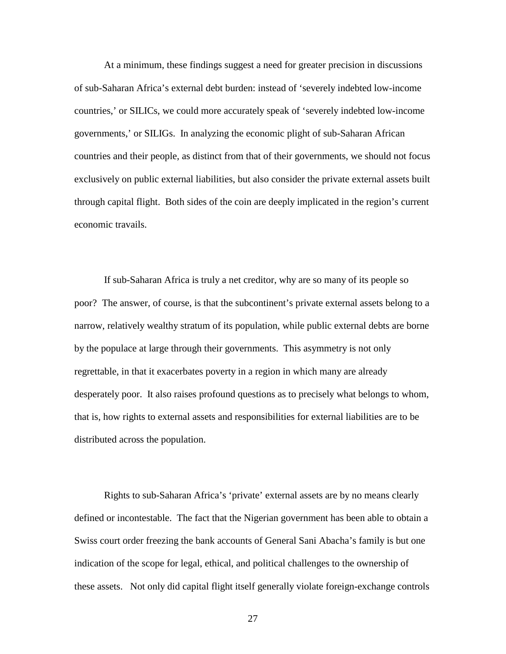At a minimum, these findings suggest a need for greater precision in discussions of sub-Saharan Africa's external debt burden: instead of 'severely indebted low-income countries,' or SILICs, we could more accurately speak of 'severely indebted low-income governments,' or SILIGs. In analyzing the economic plight of sub-Saharan African countries and their people, as distinct from that of their governments, we should not focus exclusively on public external liabilities, but also consider the private external assets built through capital flight. Both sides of the coin are deeply implicated in the region's current economic travails.

If sub-Saharan Africa is truly a net creditor, why are so many of its people so poor? The answer, of course, is that the subcontinent's private external assets belong to a narrow, relatively wealthy stratum of its population, while public external debts are borne by the populace at large through their governments. This asymmetry is not only regrettable, in that it exacerbates poverty in a region in which many are already desperately poor. It also raises profound questions as to precisely what belongs to whom, that is, how rights to external assets and responsibilities for external liabilities are to be distributed across the population.

Rights to sub-Saharan Africa's 'private' external assets are by no means clearly defined or incontestable. The fact that the Nigerian government has been able to obtain a Swiss court order freezing the bank accounts of General Sani Abacha's family is but one indication of the scope for legal, ethical, and political challenges to the ownership of these assets. Not only did capital flight itself generally violate foreign-exchange controls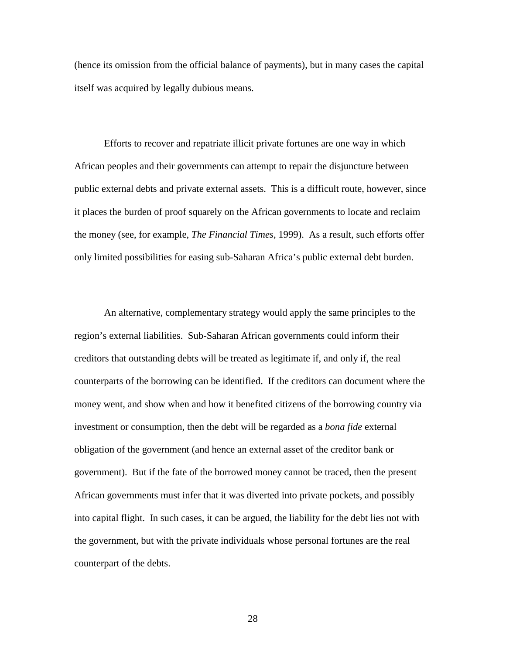(hence its omission from the official balance of payments), but in many cases the capital itself was acquired by legally dubious means.

Efforts to recover and repatriate illicit private fortunes are one way in which African peoples and their governments can attempt to repair the disjuncture between public external debts and private external assets. This is a difficult route, however, since it places the burden of proof squarely on the African governments to locate and reclaim the money (see, for example, *The Financial Times*, 1999). As a result, such efforts offer only limited possibilities for easing sub-Saharan Africa's public external debt burden.

An alternative, complementary strategy would apply the same principles to the region's external liabilities. Sub-Saharan African governments could inform their creditors that outstanding debts will be treated as legitimate if, and only if, the real counterparts of the borrowing can be identified. If the creditors can document where the money went, and show when and how it benefited citizens of the borrowing country via investment or consumption, then the debt will be regarded as a *bona fide* external obligation of the government (and hence an external asset of the creditor bank or government). But if the fate of the borrowed money cannot be traced, then the present African governments must infer that it was diverted into private pockets, and possibly into capital flight. In such cases, it can be argued, the liability for the debt lies not with the government, but with the private individuals whose personal fortunes are the real counterpart of the debts.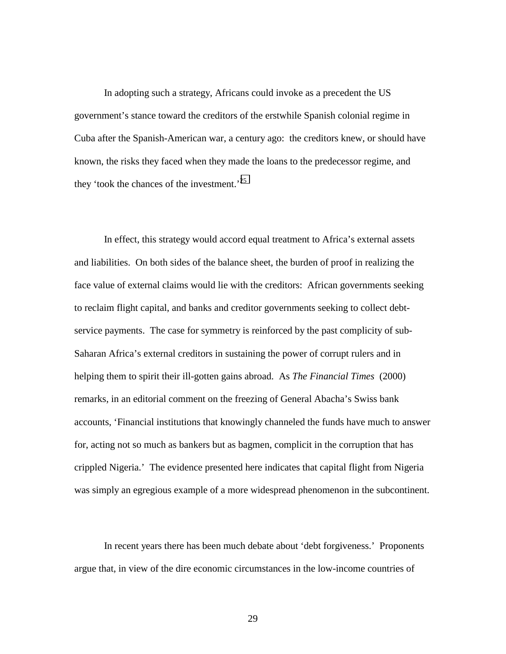In adopting such a strategy, Africans could invoke as a precedent the US government's stance toward the creditors of the erstwhile Spanish colonial regime in Cuba after the Spanish-American war, a century ago: the creditors knew, or should have known, the risks they faced when they made the loans to the predecessor regime, and they 'took the chances of the investment.<sup>25</sup>

In effect, this strategy would accord equal treatment to Africa's external assets and liabilities. On both sides of the balance sheet, the burden of proof in realizing the face value of external claims would lie with the creditors: African governments seeking to reclaim flight capital, and banks and creditor governments seeking to collect debtservice payments. The case for symmetry is reinforced by the past complicity of sub-Saharan Africa's external creditors in sustaining the power of corrupt rulers and in helping them to spirit their ill-gotten gains abroad. As *The Financial Times* (2000) remarks, in an editorial comment on the freezing of General Abacha's Swiss bank accounts, 'Financial institutions that knowingly channeled the funds have much to answer for, acting not so much as bankers but as bagmen, complicit in the corruption that has crippled Nigeria.' The evidence presented here indicates that capital flight from Nigeria was simply an egregious example of a more widespread phenomenon in the subcontinent.

In recent years there has been much debate about 'debt forgiveness.' Proponents argue that, in view of the dire economic circumstances in the low-income countries of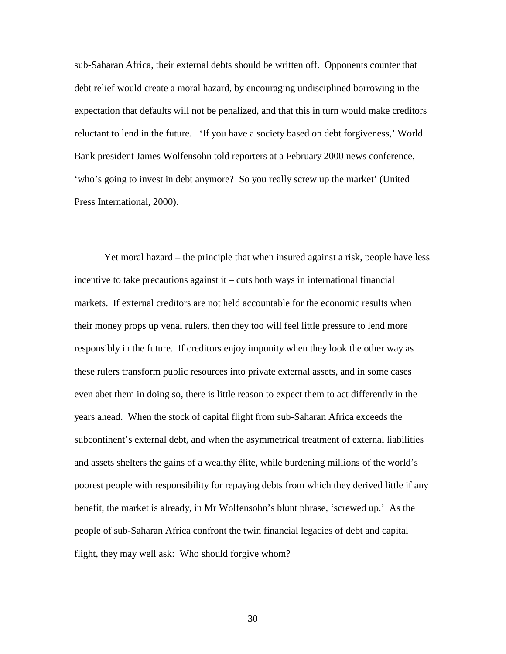sub-Saharan Africa, their external debts should be written off. Opponents counter that debt relief would create a moral hazard, by encouraging undisciplined borrowing in the expectation that defaults will not be penalized, and that this in turn would make creditors reluctant to lend in the future. 'If you have a society based on debt forgiveness,' World Bank president James Wolfensohn told reporters at a February 2000 news conference, 'who's going to invest in debt anymore? So you really screw up the market' (United Press International, 2000).

Yet moral hazard – the principle that when insured against a risk, people have less incentive to take precautions against it – cuts both ways in international financial markets. If external creditors are not held accountable for the economic results when their money props up venal rulers, then they too will feel little pressure to lend more responsibly in the future. If creditors enjoy impunity when they look the other way as these rulers transform public resources into private external assets, and in some cases even abet them in doing so, there is little reason to expect them to act differently in the years ahead. When the stock of capital flight from sub-Saharan Africa exceeds the subcontinent's external debt, and when the asymmetrical treatment of external liabilities and assets shelters the gains of a wealthy élite, while burdening millions of the world's poorest people with responsibility for repaying debts from which they derived little if any benefit, the market is already, in Mr Wolfensohn's blunt phrase, 'screwed up.' As the people of sub-Saharan Africa confront the twin financial legacies of debt and capital flight, they may well ask: Who should forgive whom?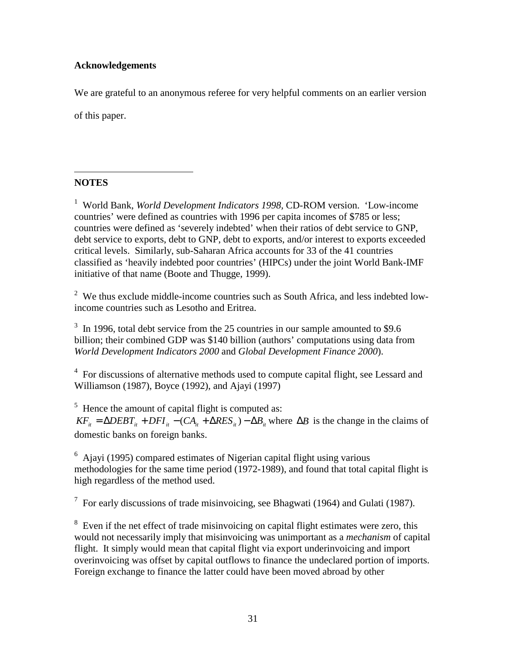## **Acknowledgements**

We are grateful to an anonymous referee for very helpful comments on an earlier version

of this paper.

## $\overline{a}$ **NOTES**

<sup>1</sup> World Bank, *World Development Indicators 1998*, CD-ROM version. 'Low-income countries' were defined as countries with 1996 per capita incomes of \$785 or less; countries were defined as 'severely indebted' when their ratios of debt service to GNP, debt service to exports, debt to GNP, debt to exports, and/or interest to exports exceeded critical levels. Similarly, sub-Saharan Africa accounts for 33 of the 41 countries classified as 'heavily indebted poor countries' (HIPCs) under the joint World Bank-IMF initiative of that name (Boote and Thugge, 1999).

 $2$  We thus exclude middle-income countries such as South Africa, and less indebted lowincome countries such as Lesotho and Eritrea.

<sup>3</sup> In 1996, total debt service from the 25 countries in our sample amounted to \$9.6 billion; their combined GDP was \$140 billion (authors' computations using data from *World Development Indicators 2000* and *Global Development Finance 2000*).

 $4$  For discussions of alternative methods used to compute capital flight, see Lessard and Williamson (1987), Boyce (1992), and Ajayi (1997)

 $<sup>5</sup>$  Hence the amount of capital flight is computed as:</sup>

 $KF_{it} = \Delta DEBT_{it} + DFI_{it} - (CA_{it} + \Delta RES_{it}) - \Delta B_{it}$  where  $\Delta B$  is the change in the claims of domestic banks on foreign banks.

 $6$  Ajayi (1995) compared estimates of Nigerian capital flight using various methodologies for the same time period (1972-1989), and found that total capital flight is high regardless of the method used.

 $^7$  For early discussions of trade misinvoicing, see Bhagwati (1964) and Gulati (1987).

 $8\,$  Even if the net effect of trade misinvoicing on capital flight estimates were zero, this would not necessarily imply that misinvoicing was unimportant as a *mechanism* of capital flight. It simply would mean that capital flight via export underinvoicing and import overinvoicing was offset by capital outflows to finance the undeclared portion of imports. Foreign exchange to finance the latter could have been moved abroad by other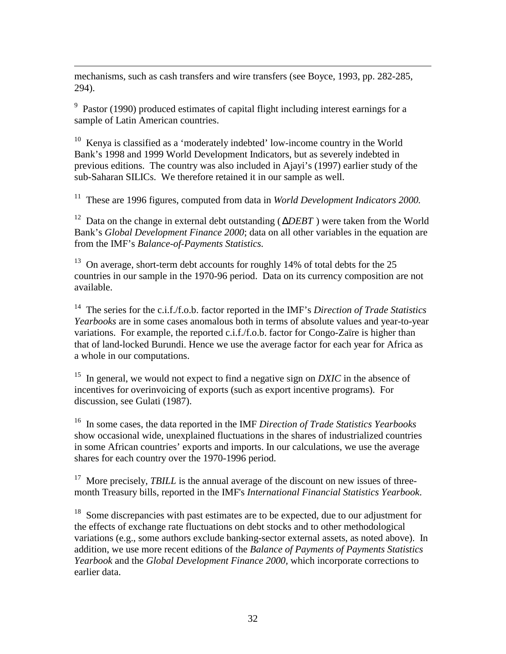mechanisms, such as cash transfers and wire transfers (see Boyce, 1993, pp. 282-285, 294).

 $\overline{a}$ 

 $9$  Pastor (1990) produced estimates of capital flight including interest earnings for a sample of Latin American countries.

10 Kenya is classified as a 'moderately indebted' low-income country in the World Bank's 1998 and 1999 World Development Indicators, but as severely indebted in previous editions. The country was also included in Ajayi's (1997) earlier study of the sub-Saharan SILICs. We therefore retained it in our sample as well.

11 These are 1996 figures, computed from data in *World Development Indicators 2000.*

12 Data on the change in external debt outstanding (∆*DEBT* ) were taken from the World Bank's *Global Development Finance 2000*; data on all other variables in the equation are from the IMF's *Balance-of-Payments Statistics.*

<sup>13</sup> On average, short-term debt accounts for roughly 14% of total debts for the 25 countries in our sample in the 1970-96 period. Data on its currency composition are not available.

14 The series for the c.i.f./f.o.b. factor reported in the IMF's *Direction of Trade Statistics Yearbooks* are in some cases anomalous both in terms of absolute values and year-to-year variations. For example, the reported c.i.f./f.o.b. factor for Congo-Zaïre is higher than that of land-locked Burundi. Hence we use the average factor for each year for Africa as a whole in our computations.

<sup>15</sup> In general, we would not expect to find a negative sign on *DXIC* in the absence of incentives for overinvoicing of exports (such as export incentive programs). For discussion, see Gulati (1987).

16 In some cases, the data reported in the IMF *Direction of Trade Statistics Yearbooks* show occasional wide, unexplained fluctuations in the shares of industrialized countries in some African countries' exports and imports. In our calculations, we use the average shares for each country over the 1970-1996 period.

<sup>17</sup> More precisely, *TBILL* is the annual average of the discount on new issues of threemonth Treasury bills, reported in the IMF's *International Financial Statistics Yearbook*.

<sup>18</sup> Some discrepancies with past estimates are to be expected, due to our adjustment for the effects of exchange rate fluctuations on debt stocks and to other methodological variations (e.g., some authors exclude banking-sector external assets, as noted above). In addition, we use more recent editions of the *Balance of Payments of Payments Statistics Yearbook* and the *Global Development Finance 2000,* which incorporate corrections to earlier data.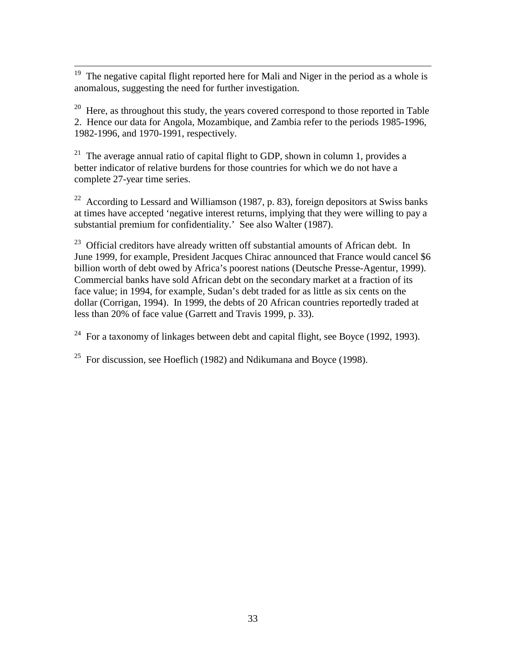<sup>19</sup> The negative capital flight reported here for Mali and Niger in the period as a whole is anomalous, suggesting the need for further investigation.

 $20$  Here, as throughout this study, the years covered correspond to those reported in Table 2. Hence our data for Angola, Mozambique, and Zambia refer to the periods 1985-1996, 1982-1996, and 1970-1991, respectively.

<sup>21</sup> The average annual ratio of capital flight to GDP, shown in column 1, provides a better indicator of relative burdens for those countries for which we do not have a complete 27-year time series.

<sup>22</sup> According to Lessard and Williamson (1987, p. 83), foreign depositors at Swiss banks at times have accepted 'negative interest returns, implying that they were willing to pay a substantial premium for confidentiality.' See also Walter (1987).

 $23$  Official creditors have already written off substantial amounts of African debt. In June 1999, for example, President Jacques Chirac announced that France would cancel \$6 billion worth of debt owed by Africa's poorest nations (Deutsche Presse-Agentur, 1999). Commercial banks have sold African debt on the secondary market at a fraction of its face value; in 1994, for example, Sudan's debt traded for as little as six cents on the dollar (Corrigan, 1994). In 1999, the debts of 20 African countries reportedly traded at less than 20% of face value (Garrett and Travis 1999, p. 33).

<sup>24</sup> For a taxonomy of linkages between debt and capital flight, see Boyce (1992, 1993).

<sup>25</sup> For discussion, see Hoeflich (1982) and Ndikumana and Boyce (1998).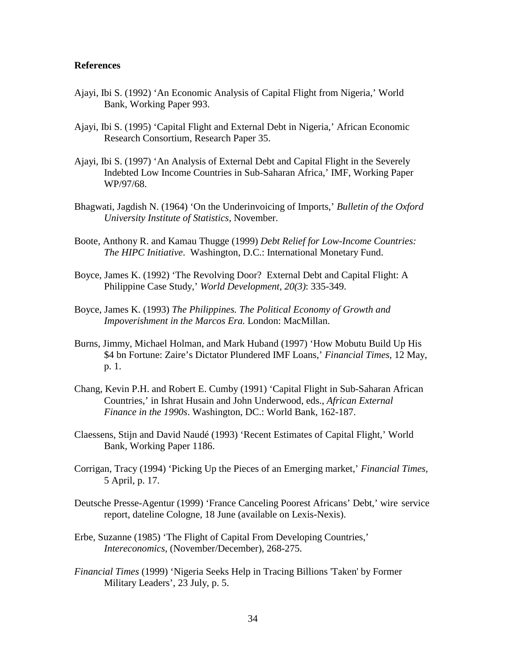#### <span id="page-36-0"></span>**References**

- Ajayi, Ibi S. (1992) 'An Economic Analysis of Capital Flight from Nigeria,' World Bank, Working Paper 993.
- Ajayi, Ibi S. (1995) 'Capital Flight and External Debt in Nigeria,' African Economic Research Consortium, Research Paper 35.
- Ajayi, Ibi S. (1997) 'An Analysis of External Debt and Capital Flight in the Severely Indebted Low Income Countries in Sub-Saharan Africa,' IMF, Working Paper WP/97/68.
- Bhagwati, Jagdish N. (1964) 'On the Underinvoicing of Imports,' *Bulletin of the Oxford University Institute of Statistics*, November.
- Boote, Anthony R. and Kamau Thugge (1999) *Debt Relief for Low-Income Countries: The HIPC Initiative*. Washington, D.C.: International Monetary Fund.
- Boyce, James K. (1992) 'The Revolving Door? External Debt and Capital Flight: A Philippine Case Study,' *World Development, 20(3)*: 335-349.
- Boyce, James K. (1993) *The Philippines. The Political Economy of Growth and Impoverishment in the Marcos Era.* London: MacMillan.
- Burns, Jimmy, Michael Holman, and Mark Huband (1997) 'How Mobutu Build Up His \$4 bn Fortune: Zaire's Dictator Plundered IMF Loans,' *Financial Times*, 12 May, p. 1.
- Chang, Kevin P.H. and Robert E. Cumby (1991) 'Capital Flight in Sub-Saharan African Countries,' in Ishrat Husain and John Underwood, eds., *African External Finance in the 1990s*. Washington, DC.: World Bank, 162-187.
- Claessens, Stijn and David Naudé (1993) 'Recent Estimates of Capital Flight,' World Bank, Working Paper 1186.
- Corrigan, Tracy (1994) 'Picking Up the Pieces of an Emerging market,' *Financial Times,*  5 April, p. 17.
- Deutsche Presse-Agentur (1999) 'France Canceling Poorest Africans' Debt,' wire service report, dateline Cologne, 18 June (available on Lexis-Nexis).
- Erbe, Suzanne (1985) 'The Flight of Capital From Developing Countries,' *Intereconomics*, (November/December), 268-275.
- *Financial Times* (1999) 'Nigeria Seeks Help in Tracing Billions 'Taken' by Former Military Leaders', 23 July, p. 5.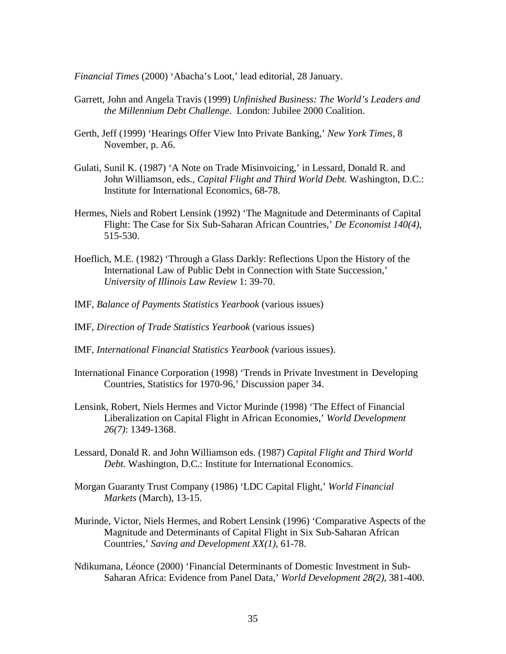*Financial Times* (2000) 'Abacha's Loot,' lead editorial, 28 January.

- Garrett, John and Angela Travis (1999) *Unfinished Business: The World's Leaders and the Millennium Debt Challenge*. London: Jubilee 2000 Coalition.
- Gerth, Jeff (1999) 'Hearings Offer View Into Private Banking,' *New York Times*, 8 November, p. A6.
- Gulati, Sunil K. (1987) 'A Note on Trade Misinvoicing,' in Lessard, Donald R. and John Williamson, eds., *Capital Flight and Third World Debt.* Washington, D.C.: Institute for International Economics, 68-78.
- Hermes, Niels and Robert Lensink (1992) 'The Magnitude and Determinants of Capital Flight: The Case for Six Sub-Saharan African Countries,' *De Economist 140(4)*, 515-530.
- Hoeflich, M.E. (1982) 'Through a Glass Darkly: Reflections Upon the History of the International Law of Public Debt in Connection with State Succession,' *University of Illinois Law Review* 1: 39-70.
- IMF, *Balance of Payments Statistics Yearbook* (various issues)
- IMF, *Direction of Trade Statistics Yearbook* (various issues)
- IMF, *International Financial Statistics Yearbook (*various issues).
- International Finance Corporation (1998) 'Trends in Private Investment in Developing Countries, Statistics for 1970-96,' Discussion paper 34.
- Lensink, Robert, Niels Hermes and Victor Murinde (1998) 'The Effect of Financial Liberalization on Capital Flight in African Economies,' *World Development 26(7)*: 1349-1368.
- Lessard, Donald R. and John Williamson eds. (1987) *Capital Flight and Third World Debt.* Washington, D.C.: Institute for International Economics.
- Morgan Guaranty Trust Company (1986) 'LDC Capital Flight,' *World Financial Markets* (March), 13-15.
- Murinde, Victor, Niels Hermes, and Robert Lensink (1996) 'Comparative Aspects of the Magnitude and Determinants of Capital Flight in Six Sub-Saharan African Countries,' *Saving and Development XX(1)*, 61-78.
- Ndikumana, Léonce (2000) 'Financial Determinants of Domestic Investment in Sub- Saharan Africa: Evidence from Panel Data,' *World Development 28(2)*, 381-400.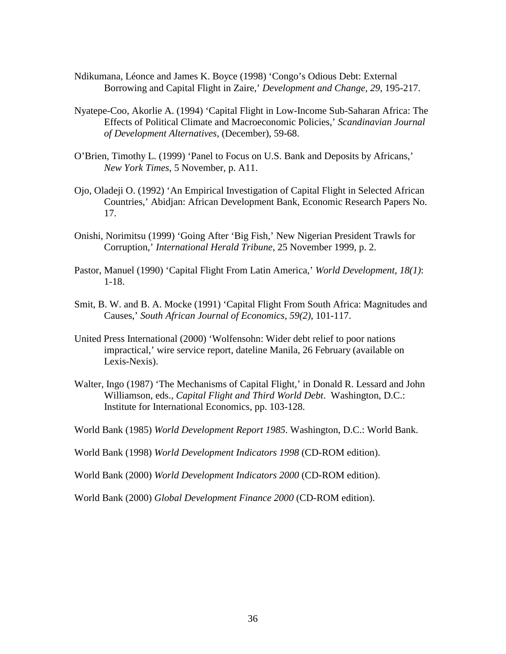- Ndikumana, Léonce and James K. Boyce (1998) 'Congo's Odious Debt: External Borrowing and Capital Flight in Zaire,' *Development and Change, 29*, 195-217.
- Nyatepe-Coo, Akorlie A. (1994) 'Capital Flight in Low-Income Sub-Saharan Africa: The Effects of Political Climate and Macroeconomic Policies,' *Scandinavian Journal of Development Alternatives*, (December), 59-68.
- O'Brien, Timothy L. (1999) 'Panel to Focus on U.S. Bank and Deposits by Africans,' *New York Times*, 5 November, p. A11.
- Ojo, Oladeji O. (1992) 'An Empirical Investigation of Capital Flight in Selected African Countries,' Abidjan: African Development Bank, Economic Research Papers No. 17.
- Onishi, Norimitsu (1999) 'Going After 'Big Fish,' New Nigerian President Trawls for Corruption,' *International Herald Tribune*, 25 November 1999, p. 2.
- Pastor, Manuel (1990) 'Capital Flight From Latin America,' *World Development, 18(1)*: 1-18.
- Smit, B. W. and B. A. Mocke (1991) 'Capital Flight From South Africa: Magnitudes and Causes,' *South African Journal of Economics, 59(2),* 101-117.
- United Press International (2000) 'Wolfensohn: Wider debt relief to poor nations impractical,' wire service report, dateline Manila, 26 February (available on Lexis-Nexis).
- Walter, Ingo (1987) 'The Mechanisms of Capital Flight,' in Donald R. Lessard and John Williamson, eds., *Capital Flight and Third World Debt*. Washington, D.C.: Institute for International Economics, pp. 103-128.
- World Bank (1985) *World Development Report 1985*. Washington, D.C.: World Bank.
- World Bank (1998) *World Development Indicators 1998* (CD-ROM edition).
- World Bank (2000) *World Development Indicators 2000* (CD-ROM edition).
- World Bank (2000) *Global Development Finance 2000* (CD-ROM edition).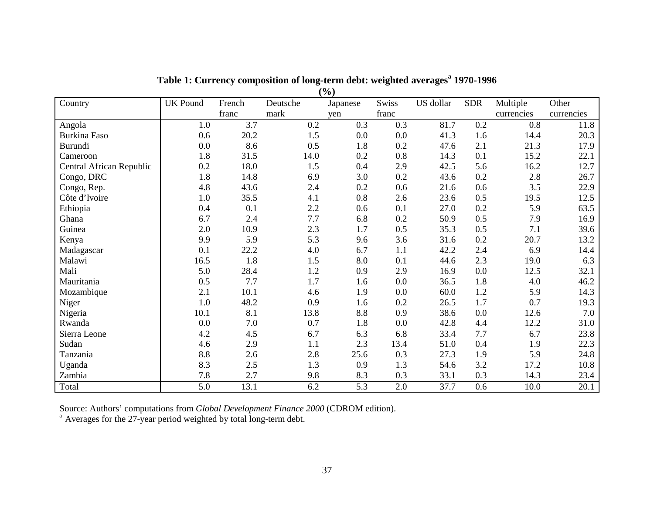| Country                  | <b>UK</b> Pound | French | Deutsche | Japanese | Swiss   | US dollar | <b>SDR</b> | Multiple   | Other      |
|--------------------------|-----------------|--------|----------|----------|---------|-----------|------------|------------|------------|
|                          |                 | franc  | mark     | yen      | franc   |           |            | currencies | currencies |
| Angola                   | 1.0             | 3.7    | 0.2      | 0.3      | 0.3     | 81.7      | 0.2        | 0.8        | 11.8       |
| <b>Burkina Faso</b>      | 0.6             | 20.2   | 1.5      | 0.0      | $0.0\,$ | 41.3      | 1.6        | 14.4       | 20.3       |
| Burundi                  | 0.0             | 8.6    | 0.5      | 1.8      | 0.2     | 47.6      | 2.1        | 21.3       | 17.9       |
| Cameroon                 | 1.8             | 31.5   | 14.0     | 0.2      | 0.8     | 14.3      | 0.1        | 15.2       | 22.1       |
| Central African Republic | 0.2             | 18.0   | 1.5      | 0.4      | 2.9     | 42.5      | 5.6        | 16.2       | 12.7       |
| Congo, DRC               | 1.8             | 14.8   | 6.9      | 3.0      | 0.2     | 43.6      | 0.2        | 2.8        | 26.7       |
| Congo, Rep.              | 4.8             | 43.6   | 2.4      | 0.2      | 0.6     | 21.6      | 0.6        | 3.5        | 22.9       |
| Côte d'Ivoire            | 1.0             | 35.5   | 4.1      | 0.8      | 2.6     | 23.6      | 0.5        | 19.5       | 12.5       |
| Ethiopia                 | 0.4             | 0.1    | 2.2      | 0.6      | 0.1     | 27.0      | 0.2        | 5.9        | 63.5       |
| Ghana                    | 6.7             | 2.4    | 7.7      | 6.8      | 0.2     | 50.9      | 0.5        | 7.9        | 16.9       |
| Guinea                   | 2.0             | 10.9   | 2.3      | 1.7      | 0.5     | 35.3      | 0.5        | 7.1        | 39.6       |
| Kenya                    | 9.9             | 5.9    | 5.3      | 9.6      | 3.6     | 31.6      | 0.2        | 20.7       | 13.2       |
| Madagascar               | 0.1             | 22.2   | 4.0      | 6.7      | 1.1     | 42.2      | 2.4        | 6.9        | 14.4       |
| Malawi                   | 16.5            | 1.8    | 1.5      | 8.0      | 0.1     | 44.6      | 2.3        | 19.0       | 6.3        |
| Mali                     | 5.0             | 28.4   | 1.2      | 0.9      | 2.9     | 16.9      | 0.0        | 12.5       | 32.1       |
| Mauritania               | 0.5             | 7.7    | 1.7      | 1.6      | 0.0     | 36.5      | 1.8        | 4.0        | 46.2       |
| Mozambique               | 2.1             | 10.1   | 4.6      | 1.9      | 0.0     | 60.0      | 1.2        | 5.9        | 14.3       |
| Niger                    | $1.0\,$         | 48.2   | 0.9      | 1.6      | 0.2     | 26.5      | 1.7        | 0.7        | 19.3       |
| Nigeria                  | 10.1            | 8.1    | 13.8     | 8.8      | 0.9     | 38.6      | 0.0        | 12.6       | 7.0        |
| Rwanda                   | 0.0             | 7.0    | 0.7      | 1.8      | 0.0     | 42.8      | 4.4        | 12.2       | 31.0       |
| Sierra Leone             | 4.2             | 4.5    | 6.7      | 6.3      | 6.8     | 33.4      | 7.7        | 6.7        | 23.8       |
| Sudan                    | 4.6             | 2.9    | 1.1      | 2.3      | 13.4    | 51.0      | 0.4        | 1.9        | 22.3       |
| Tanzania                 | 8.8             | 2.6    | 2.8      | 25.6     | 0.3     | 27.3      | 1.9        | 5.9        | 24.8       |
| Uganda                   | 8.3             | 2.5    | 1.3      | 0.9      | 1.3     | 54.6      | 3.2        | 17.2       | 10.8       |
| Zambia                   | 7.8             | 2.7    | 9.8      | 8.3      | 0.3     | 33.1      | 0.3        | 14.3       | 23.4       |
| Total                    | 5.0             | 13.1   | 6.2      | 5.3      | 2.0     | 37.7      | 0.6        | 10.0       | 20.1       |

Table 1: Currency composition of long-term debt: weighted averages<sup>a</sup> 1970-1996  $($ %)<sup> $)$ </sup>

Source: Authors' computations from *Global Development Finance 2000* (CDROM edition).

<sup>a</sup> Averages for the 27-year period weighted by total long-term debt.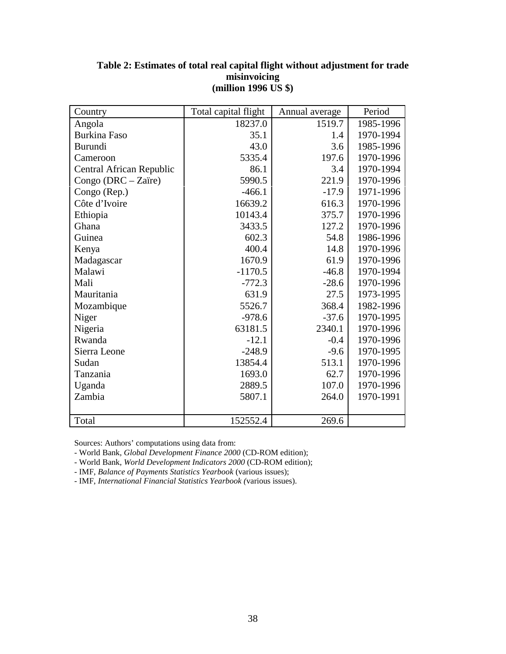| Country                  | Total capital flight | Annual average | Period    |
|--------------------------|----------------------|----------------|-----------|
| Angola                   | 18237.0              | 1519.7         | 1985-1996 |
| <b>Burkina Faso</b>      | 35.1                 | 1.4            | 1970-1994 |
| <b>Burundi</b>           | 43.0                 | 3.6            | 1985-1996 |
| Cameroon                 | 5335.4               | 197.6          | 1970-1996 |
| Central African Republic | 86.1                 | 3.4            | 1970-1994 |
| Congo (DRC – Zaïre)      | 5990.5               | 221.9          | 1970-1996 |
| Congo (Rep.)             | $-466.1$             | $-17.9$        | 1971-1996 |
| Côte d'Ivoire            | 16639.2              | 616.3          | 1970-1996 |
| Ethiopia                 | 10143.4              | 375.7          | 1970-1996 |
| Ghana                    | 3433.5               | 127.2          | 1970-1996 |
| Guinea                   | 602.3                | 54.8           | 1986-1996 |
| Kenya                    | 400.4                | 14.8           | 1970-1996 |
| Madagascar               | 1670.9               | 61.9           | 1970-1996 |
| Malawi                   | $-1170.5$            | $-46.8$        | 1970-1994 |
| Mali                     | $-772.3$             | $-28.6$        | 1970-1996 |
| Mauritania               | 631.9                | 27.5           | 1973-1995 |
| Mozambique               | 5526.7               | 368.4          | 1982-1996 |
| Niger                    | $-978.6$             | $-37.6$        | 1970-1995 |
| Nigeria                  | 63181.5              | 2340.1         | 1970-1996 |
| Rwanda                   | $-12.1$              | $-0.4$         | 1970-1996 |
| Sierra Leone             | $-248.9$             | $-9.6$         | 1970-1995 |
| Sudan                    | 13854.4              | 513.1          | 1970-1996 |
| Tanzania                 | 1693.0               | 62.7           | 1970-1996 |
| Uganda                   | 2889.5               | 107.0          | 1970-1996 |
| Zambia                   | 5807.1               | 264.0          | 1970-1991 |
|                          |                      |                |           |
| Total                    | 152552.4             | 269.6          |           |

**Table 2: Estimates of total real capital flight without adjustment for trade misinvoicing (million 1996 US \$)** 

Sources: Authors' computations using data from:

- World Bank, *Global Development Finance 2000* (CD-ROM edition);

- World Bank, *World Development Indicators 2000* (CD-ROM edition);

- IMF, *Balance of Payments Statistics Yearbook* (various issues);

- IMF, *International Financial Statistics Yearbook (*various issues).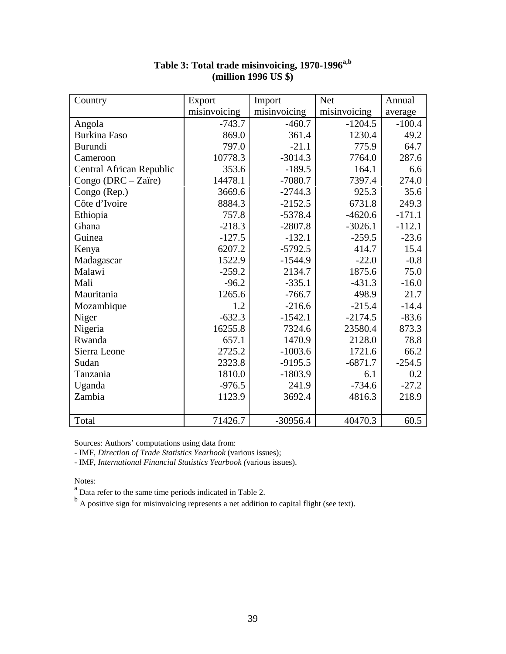| Country                  | Export       | Import       | <b>Net</b>   | Annual   |
|--------------------------|--------------|--------------|--------------|----------|
|                          | misinvoicing | misinvoicing | misinvoicing | average  |
| Angola                   | $-743.7$     | $-460.7$     | $-1204.5$    | $-100.4$ |
| <b>Burkina Faso</b>      | 869.0        | 361.4        | 1230.4       | 49.2     |
| <b>Burundi</b>           | 797.0        | $-21.1$      | 775.9        | 64.7     |
| Cameroon                 | 10778.3      | $-3014.3$    | 7764.0       | 287.6    |
| Central African Republic | 353.6        | $-189.5$     | 164.1        | 6.6      |
| Congo (DRC – Zaïre)      | 14478.1      | $-7080.7$    | 7397.4       | 274.0    |
| Congo (Rep.)             | 3669.6       | $-2744.3$    | 925.3        | 35.6     |
| Côte d'Ivoire            | 8884.3       | $-2152.5$    | 6731.8       | 249.3    |
| Ethiopia                 | 757.8        | $-5378.4$    | $-4620.6$    | $-171.1$ |
| Ghana                    | $-218.3$     | $-2807.8$    | $-3026.1$    | $-112.1$ |
| Guinea                   | $-127.5$     | $-132.1$     | $-259.5$     | $-23.6$  |
| Kenya                    | 6207.2       | $-5792.5$    | 414.7        | 15.4     |
| Madagascar               | 1522.9       | $-1544.9$    | $-22.0$      | $-0.8$   |
| Malawi                   | $-259.2$     | 2134.7       | 1875.6       | 75.0     |
| Mali                     | $-96.2$      | $-335.1$     | $-431.3$     | $-16.0$  |
| Mauritania               | 1265.6       | $-766.7$     | 498.9        | 21.7     |
| Mozambique               | 1.2          | $-216.6$     | $-215.4$     | $-14.4$  |
| Niger                    | $-632.3$     | $-1542.1$    | $-2174.5$    | $-83.6$  |
| Nigeria                  | 16255.8      | 7324.6       | 23580.4      | 873.3    |
| Rwanda                   | 657.1        | 1470.9       | 2128.0       | 78.8     |
| Sierra Leone             | 2725.2       | $-1003.6$    | 1721.6       | 66.2     |
| Sudan                    | 2323.8       | $-9195.5$    | $-6871.7$    | $-254.5$ |
| Tanzania                 | 1810.0       | $-1803.9$    | 6.1          | 0.2      |
| Uganda                   | $-976.5$     | 241.9        | $-734.6$     | $-27.2$  |
| Zambia                   | 1123.9       | 3692.4       | 4816.3       | 218.9    |
|                          |              |              |              |          |
| Total                    | 71426.7      | $-30956.4$   | 40470.3      | 60.5     |

## **Table 3: Total trade misinvoicing, 1970-1996a,b (million 1996 US \$)**

Sources: Authors' computations using data from:

- IMF, *Direction of Trade Statistics Yearbook* (various issues);

- IMF, *International Financial Statistics Yearbook (*various issues).

Notes:

<sup>a</sup> Data refer to the same time periods indicated in Table 2.<br><sup>b</sup> A positive sign for misinvoicing represents a net addition to capital flight (see text).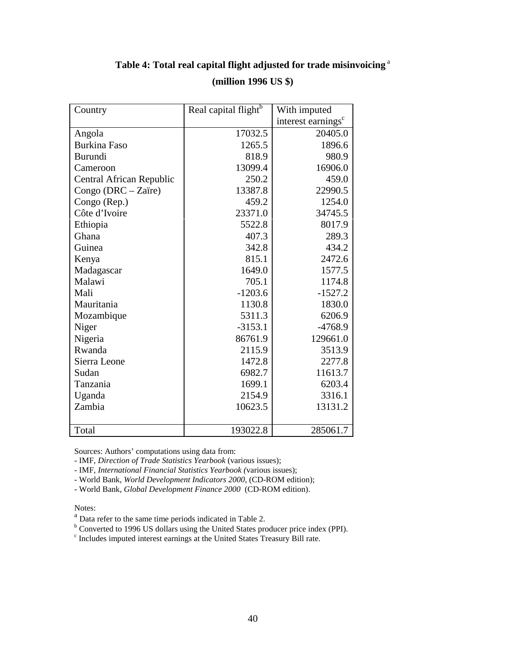## **Table 4: Total real capital flight adjusted for trade misinvoicing**<sup>a</sup> **(million 1996 US \$)**

| Country                  | Real capital flight <sup>b</sup> | With imputed                   |
|--------------------------|----------------------------------|--------------------------------|
|                          |                                  | interest earnings <sup>c</sup> |
| Angola                   | 17032.5                          | 20405.0                        |
| <b>Burkina Faso</b>      | 1265.5                           | 1896.6                         |
| Burundi                  | 818.9                            | 980.9                          |
| Cameroon                 | 13099.4                          | 16906.0                        |
| Central African Republic | 250.2                            | 459.0                          |
| Congo (DRC – Zaïre)      | 13387.8                          | 22990.5                        |
| Congo (Rep.)             | 459.2                            | 1254.0                         |
| Côte d'Ivoire            | 23371.0                          | 34745.5                        |
| Ethiopia                 | 5522.8                           | 8017.9                         |
| Ghana                    | 407.3                            | 289.3                          |
| Guinea                   | 342.8                            | 434.2                          |
| Kenya                    | 815.1                            | 2472.6                         |
| Madagascar               | 1649.0                           | 1577.5                         |
| Malawi                   | 705.1                            | 1174.8                         |
| Mali                     | $-1203.6$                        | $-1527.2$                      |
| Mauritania               | 1130.8                           | 1830.0                         |
| Mozambique               | 5311.3                           | 6206.9                         |
| Niger                    | $-3153.1$                        | $-4768.9$                      |
| Nigeria                  | 86761.9                          | 129661.0                       |
| Rwanda                   | 2115.9                           | 3513.9                         |
| Sierra Leone             | 1472.8                           | 2277.8                         |
| Sudan                    | 6982.7                           | 11613.7                        |
| Tanzania                 | 1699.1                           | 6203.4                         |
| Uganda                   | 2154.9                           | 3316.1                         |
| Zambia                   | 10623.5                          | 13131.2                        |
|                          |                                  |                                |
| Total                    | 193022.8                         | 285061.7                       |

Sources: Authors' computations using data from:

- IMF, *Direction of Trade Statistics Yearbook* (various issues);

- IMF, *International Financial Statistics Yearbook (*various issues);

- World Bank, *World Development Indicators 2000*, (CD-ROM edition);

- World Bank, *Global Development Finance 2000* (CD-ROM edition).

Notes:

<sup>a</sup> Data refer to the same time periods indicated in Table 2.<br><sup>b</sup> Converted to 1996 US dollars using the United States producer price index (PPI).

<sup>c</sup> Includes imputed interest earnings at the United States Treasury Bill rate.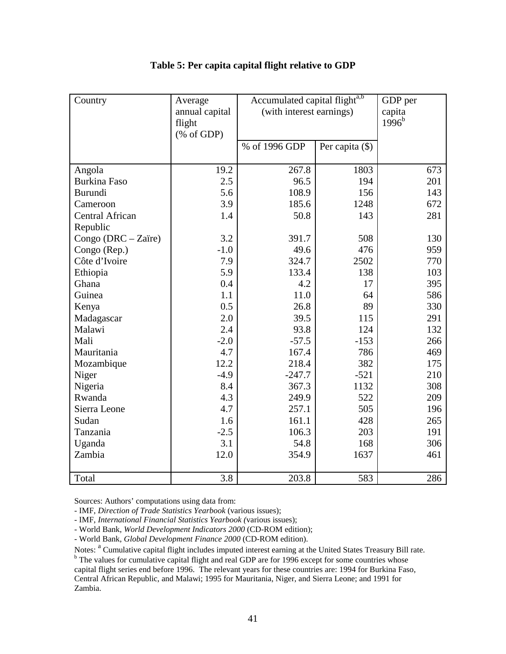| Country                | Average                                  | Accumulated capital flight <sup>a,b</sup> |                   | GDP per    |
|------------------------|------------------------------------------|-------------------------------------------|-------------------|------------|
|                        | annual capital                           | (with interest earnings)                  |                   | capita     |
|                        | flight                                   |                                           |                   | $1996^{b}$ |
|                        | $(% \mathcal{L}_{0}^{\infty}$ (% of GDP) |                                           |                   |            |
|                        |                                          | % of 1996 GDP                             | Per capita $(\$)$ |            |
|                        |                                          |                                           |                   |            |
| Angola                 | 19.2                                     | 267.8                                     | 1803              | 673        |
| <b>Burkina Faso</b>    | 2.5                                      | 96.5                                      | 194               | 201        |
| Burundi                | 5.6                                      | 108.9                                     | 156               | 143        |
| Cameroon               | 3.9                                      | 185.6                                     | 1248              | 672        |
| <b>Central African</b> | 1.4                                      | 50.8                                      | 143               | 281        |
| Republic               |                                          |                                           |                   |            |
| Congo (DRC - Zaïre)    | 3.2                                      | 391.7                                     | 508               | 130        |
| Congo (Rep.)           | $-1.0$                                   | 49.6                                      | 476               | 959        |
| Côte d'Ivoire          | 7.9                                      | 324.7                                     | 2502              | 770        |
| Ethiopia               | 5.9                                      | 133.4                                     | 138               | 103        |
| Ghana                  | 0.4                                      | 4.2                                       | 17                | 395        |
| Guinea                 | 1.1                                      | 11.0                                      | 64                | 586        |
| Kenya                  | 0.5                                      | 26.8                                      | 89                | 330        |
| Madagascar             | 2.0                                      | 39.5                                      | 115               | 291        |
| Malawi                 | 2.4                                      | 93.8                                      | 124               | 132        |
| Mali                   | $-2.0$                                   | $-57.5$                                   | $-153$            | 266        |
| Mauritania             | 4.7                                      | 167.4                                     | 786               | 469        |
| Mozambique             | 12.2                                     | 218.4                                     | 382               | 175        |
| Niger                  | $-4.9$                                   | $-247.7$                                  | $-521$            | 210        |
| Nigeria                | 8.4                                      | 367.3                                     | 1132              | 308        |
| Rwanda                 | 4.3                                      | 249.9                                     | 522               | 209        |
| Sierra Leone           | 4.7                                      | 257.1                                     | 505               | 196        |
| Sudan                  | 1.6                                      | 161.1                                     | 428               | 265        |
| Tanzania               | $-2.5$                                   | 106.3                                     | 203               | 191        |
| Uganda                 | 3.1                                      | 54.8                                      | 168               | 306        |
| Zambia                 | 12.0                                     | 354.9                                     | 1637              | 461        |
|                        |                                          |                                           |                   |            |
| Total                  | 3.8                                      | 203.8                                     | 583               | 286        |

## **Table 5: Per capita capital flight relative to GDP**

Sources: Authors' computations using data from:

- IMF, *Direction of Trade Statistics Yearbook* (various issues);

- World Bank, *World Development Indicators 2000* (CD-ROM edition);

- World Bank, *Global Development Finance 2000* (CD-ROM edition).

Notes:  $\frac{a}{b}$  Cumulative capital flight includes imputed interest earning at the United States Treasury Bill rate.

 $<sup>b</sup>$  The values for cumulative capital flight and real GDP are for 1996 except for some countries whose</sup> capital flight series end before 1996. The relevant years for these countries are: 1994 for Burkina Faso, Central African Republic, and Malawi; 1995 for Mauritania, Niger, and Sierra Leone; and 1991 for Zambia.

<sup>-</sup> IMF, *International Financial Statistics Yearbook (*various issues);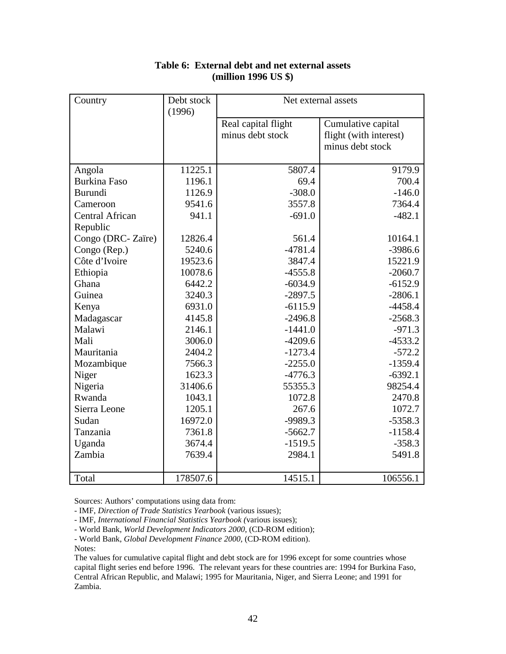| Country                | Debt stock<br>(1996) | Net external assets |                        |  |  |  |
|------------------------|----------------------|---------------------|------------------------|--|--|--|
|                        |                      | Real capital flight | Cumulative capital     |  |  |  |
|                        |                      | minus debt stock    | flight (with interest) |  |  |  |
|                        |                      |                     | minus debt stock       |  |  |  |
|                        |                      |                     |                        |  |  |  |
| Angola                 | 11225.1              | 5807.4              | 9179.9                 |  |  |  |
| <b>Burkina Faso</b>    | 1196.1               | 69.4                | 700.4                  |  |  |  |
| Burundi                | 1126.9               | $-308.0$            | $-146.0$               |  |  |  |
| Cameroon               | 9541.6               | 3557.8              | 7364.4                 |  |  |  |
| <b>Central African</b> | 941.1                | $-691.0$            | $-482.1$               |  |  |  |
| Republic               |                      |                     |                        |  |  |  |
| Congo (DRC- Zaïre)     | 12826.4              | 561.4               | 10164.1                |  |  |  |
| Congo (Rep.)           | 5240.6               | $-4781.4$           | $-3986.6$              |  |  |  |
| Côte d'Ivoire          | 19523.6              | 3847.4              | 15221.9                |  |  |  |
| Ethiopia               | 10078.6              | $-4555.8$           | $-2060.7$              |  |  |  |
| Ghana                  | 6442.2               | $-6034.9$           | $-6152.9$              |  |  |  |
| Guinea                 | 3240.3               | $-2897.5$           | $-2806.1$              |  |  |  |
| Kenya                  | 6931.0               | $-6115.9$           | $-4458.4$              |  |  |  |
| Madagascar             | 4145.8               | $-2496.8$           | $-2568.3$              |  |  |  |
| Malawi                 | 2146.1               | $-1441.0$           | $-971.3$               |  |  |  |
| Mali                   | 3006.0               | $-4209.6$           | $-4533.2$              |  |  |  |
| Mauritania             | 2404.2               | $-1273.4$           | $-572.2$               |  |  |  |
| Mozambique             | 7566.3               | $-2255.0$           | $-1359.4$              |  |  |  |
| Niger                  | 1623.3               | $-4776.3$           | $-6392.1$              |  |  |  |
| Nigeria                | 31406.6              | 55355.3             | 98254.4                |  |  |  |
| Rwanda                 | 1043.1               | 1072.8              | 2470.8                 |  |  |  |
| Sierra Leone           | 1205.1               | 267.6               | 1072.7                 |  |  |  |
| Sudan                  | 16972.0              | -9989.3             | $-5358.3$              |  |  |  |
| Tanzania               | 7361.8               | $-5662.7$           | $-1158.4$              |  |  |  |
| Uganda                 | 3674.4               | $-1519.5$           | $-358.3$               |  |  |  |
| Zambia                 | 7639.4               | 2984.1              | 5491.8                 |  |  |  |
|                        |                      |                     |                        |  |  |  |
| Total                  | 178507.6             | 14515.1             | 106556.1               |  |  |  |

## **Table 6: External debt and net external assets (million 1996 US \$)**

Sources: Authors' computations using data from:

- IMF, *Direction of Trade Statistics Yearbook* (various issues);

- IMF, *International Financial Statistics Yearbook (*various issues);

- World Bank, *World Development Indicators 2000*, (CD-ROM edition);

- World Bank, *Global Development Finance 2000,* (CD-ROM edition).

Notes:

The values for cumulative capital flight and debt stock are for 1996 except for some countries whose capital flight series end before 1996. The relevant years for these countries are: 1994 for Burkina Faso, Central African Republic, and Malawi; 1995 for Mauritania, Niger, and Sierra Leone; and 1991 for Zambia.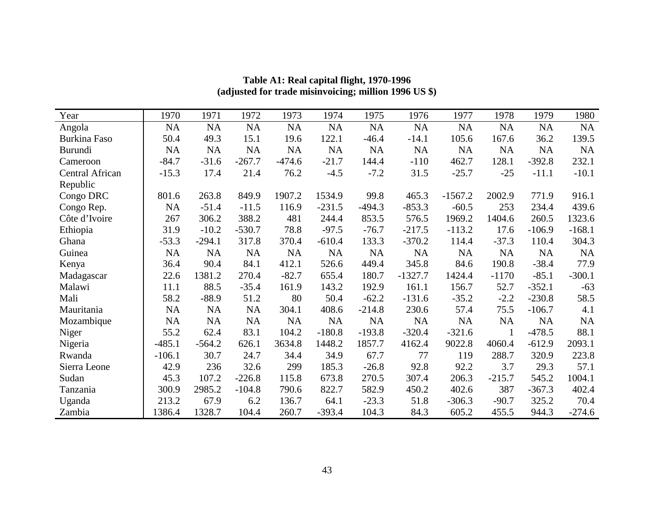| Year                   | 1970     | 1971      | 1972     | 1973      | 1974      | 1975     | 1976      | 1977      | 1978         | 1979      | 1980      |
|------------------------|----------|-----------|----------|-----------|-----------|----------|-----------|-----------|--------------|-----------|-----------|
| Angola                 | NA       | <b>NA</b> | NA       | <b>NA</b> | <b>NA</b> | NA       | <b>NA</b> | <b>NA</b> | <b>NA</b>    | <b>NA</b> | <b>NA</b> |
| <b>Burkina Faso</b>    | 50.4     | 49.3      | 15.1     | 19.6      | 122.1     | $-46.4$  | $-14.1$   | 105.6     | 167.6        | 36.2      | 139.5     |
| Burundi                | NA       | <b>NA</b> | NA       | NA        | NA        | NA       | NA        | <b>NA</b> | <b>NA</b>    | <b>NA</b> | NA        |
| Cameroon               | $-84.7$  | $-31.6$   | $-267.7$ | $-474.6$  | $-21.7$   | 144.4    | $-110$    | 462.7     | 128.1        | $-392.8$  | 232.1     |
| <b>Central African</b> | $-15.3$  | 17.4      | 21.4     | 76.2      | $-4.5$    | $-7.2$   | 31.5      | $-25.7$   | $-25$        | $-11.1$   | $-10.1$   |
| Republic               |          |           |          |           |           |          |           |           |              |           |           |
| Congo DRC              | 801.6    | 263.8     | 849.9    | 1907.2    | 1534.9    | 99.8     | 465.3     | $-1567.2$ | 2002.9       | 771.9     | 916.1     |
| Congo Rep.             | NA       | $-51.4$   | $-11.5$  | 116.9     | $-231.5$  | $-494.3$ | $-853.3$  | $-60.5$   | 253          | 234.4     | 439.6     |
| Côte d'Ivoire          | 267      | 306.2     | 388.2    | 481       | 244.4     | 853.5    | 576.5     | 1969.2    | 1404.6       | 260.5     | 1323.6    |
| Ethiopia               | 31.9     | $-10.2$   | $-530.7$ | 78.8      | $-97.5$   | $-76.7$  | $-217.5$  | $-113.2$  | 17.6         | $-106.9$  | $-168.1$  |
| Ghana                  | $-53.3$  | $-294.1$  | 317.8    | 370.4     | $-610.4$  | 133.3    | $-370.2$  | 114.4     | $-37.3$      | 110.4     | 304.3     |
| Guinea                 | NA       | <b>NA</b> | NA       | NA        | NA        | NA       | NA        | <b>NA</b> | <b>NA</b>    | NA        | NA        |
| Kenya                  | 36.4     | 90.4      | 84.1     | 412.1     | 526.6     | 449.4    | 345.8     | 84.6      | 190.8        | $-38.4$   | 77.9      |
| Madagascar             | 22.6     | 1381.2    | 270.4    | $-82.7$   | 655.4     | 180.7    | $-1327.7$ | 1424.4    | $-1170$      | $-85.1$   | $-300.1$  |
| Malawi                 | 11.1     | 88.5      | $-35.4$  | 161.9     | 143.2     | 192.9    | 161.1     | 156.7     | 52.7         | $-352.1$  | $-63$     |
| Mali                   | 58.2     | $-88.9$   | 51.2     | 80        | 50.4      | $-62.2$  | $-131.6$  | $-35.2$   | $-2.2$       | $-230.8$  | 58.5      |
| Mauritania             | NA       | <b>NA</b> | NA       | 304.1     | 408.6     | $-214.8$ | 230.6     | 57.4      | 75.5         | $-106.7$  | 4.1       |
| Mozambique             | NA       | <b>NA</b> | NA       | NA        | NA        | NA       | NA        | NA        | NA           | <b>NA</b> | <b>NA</b> |
| Niger                  | 55.2     | 62.4      | 83.1     | 104.2     | $-180.8$  | $-193.8$ | $-320.4$  | $-321.6$  | $\mathbf{1}$ | $-478.5$  | 88.1      |
| Nigeria                | $-485.1$ | $-564.2$  | 626.1    | 3634.8    | 1448.2    | 1857.7   | 4162.4    | 9022.8    | 4060.4       | $-612.9$  | 2093.1    |
| Rwanda                 | $-106.1$ | 30.7      | 24.7     | 34.4      | 34.9      | 67.7     | 77        | 119       | 288.7        | 320.9     | 223.8     |
| Sierra Leone           | 42.9     | 236       | 32.6     | 299       | 185.3     | $-26.8$  | 92.8      | 92.2      | 3.7          | 29.3      | 57.1      |
| Sudan                  | 45.3     | 107.2     | $-226.8$ | 115.8     | 673.8     | 270.5    | 307.4     | 206.3     | $-215.7$     | 545.2     | 1004.1    |
| Tanzania               | 300.9    | 2985.2    | $-104.8$ | 790.6     | 822.7     | 582.9    | 450.2     | 402.6     | 387          | $-367.3$  | 402.4     |
| Uganda                 | 213.2    | 67.9      | 6.2      | 136.7     | 64.1      | $-23.3$  | 51.8      | $-306.3$  | $-90.7$      | 325.2     | 70.4      |
| Zambia                 | 1386.4   | 1328.7    | 104.4    | 260.7     | $-393.4$  | 104.3    | 84.3      | 605.2     | 455.5        | 944.3     | $-274.6$  |

## **Table A1: Real capital flight, 1970-1996 (adjusted for trade misinvoicing; million 1996 US \$)**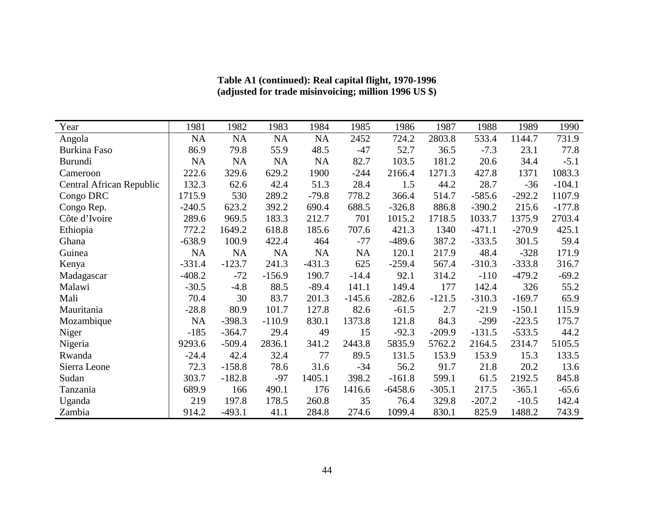| Year                     | 1981      | 1982      | 1983      | 1984      | 1985     | 1986      | 1987     | 1988     | 1989     | 1990     |
|--------------------------|-----------|-----------|-----------|-----------|----------|-----------|----------|----------|----------|----------|
| Angola                   | <b>NA</b> | <b>NA</b> | <b>NA</b> | <b>NA</b> | 2452     | 724.2     | 2803.8   | 533.4    | 1144.7   | 731.9    |
| Burkina Faso             | 86.9      | 79.8      | 55.9      | 48.5      | $-47$    | 52.7      | 36.5     | $-7.3$   | 23.1     | 77.8     |
| Burundi                  | <b>NA</b> | <b>NA</b> | NA        | NA        | 82.7     | 103.5     | 181.2    | 20.6     | 34.4     | $-5.1$   |
| Cameroon                 | 222.6     | 329.6     | 629.2     | 1900      | $-244$   | 2166.4    | 1271.3   | 427.8    | 1371     | 1083.3   |
| Central African Republic | 132.3     | 62.6      | 42.4      | 51.3      | 28.4     | 1.5       | 44.2     | 28.7     | $-36$    | $-104.1$ |
| Congo DRC                | 1715.9    | 530       | 289.2     | $-79.8$   | 778.2    | 366.4     | 514.7    | $-585.6$ | $-292.2$ | 1107.9   |
| Congo Rep.               | $-240.5$  | 623.2     | 392.2     | 690.4     | 688.5    | $-326.8$  | 886.8    | $-390.2$ | 215.6    | $-177.8$ |
| Côte d'Ivoire            | 289.6     | 969.5     | 183.3     | 212.7     | 701      | 1015.2    | 1718.5   | 1033.7   | 1375.9   | 2703.4   |
| Ethiopia                 | 772.2     | 1649.2    | 618.8     | 185.6     | 707.6    | 421.3     | 1340     | $-471.1$ | $-270.9$ | 425.1    |
| Ghana                    | $-638.9$  | 100.9     | 422.4     | 464       | $-77$    | $-489.6$  | 387.2    | $-333.5$ | 301.5    | 59.4     |
| Guinea                   | NA        | NA        | <b>NA</b> | <b>NA</b> | NA       | 120.1     | 217.9    | 48.4     | $-328$   | 171.9    |
| Kenya                    | $-331.4$  | $-123.7$  | 241.3     | $-431.3$  | 625      | $-259.4$  | 567.4    | $-310.3$ | $-333.8$ | 316.7    |
| Madagascar               | $-408.2$  | $-72$     | $-156.9$  | 190.7     | $-14.4$  | 92.1      | 314.2    | $-110$   | $-479.2$ | $-69.2$  |
| Malawi                   | $-30.5$   | $-4.8$    | 88.5      | $-89.4$   | 141.1    | 149.4     | 177      | 142.4    | 326      | 55.2     |
| Mali                     | 70.4      | 30        | 83.7      | 201.3     | $-145.6$ | $-282.6$  | $-121.5$ | $-310.3$ | $-169.7$ | 65.9     |
| Mauritania               | $-28.8$   | 80.9      | 101.7     | 127.8     | 82.6     | $-61.5$   | 2.7      | $-21.9$  | $-150.1$ | 115.9    |
| Mozambique               | NA        | $-398.3$  | $-110.9$  | 830.1     | 1373.8   | 121.8     | 84.3     | $-299$   | $-223.5$ | 175.7    |
| Niger                    | $-185$    | $-364.7$  | 29.4      | 49        | 15       | $-92.3$   | $-209.9$ | $-131.5$ | $-533.5$ | 44.2     |
| Nigeria                  | 9293.6    | $-509.4$  | 2836.1    | 341.2     | 2443.8   | 5835.9    | 5762.2   | 2164.5   | 2314.7   | 5105.5   |
| Rwanda                   | $-24.4$   | 42.4      | 32.4      | 77        | 89.5     | 131.5     | 153.9    | 153.9    | 15.3     | 133.5    |
| Sierra Leone             | 72.3      | $-158.8$  | 78.6      | 31.6      | $-34$    | 56.2      | 91.7     | 21.8     | 20.2     | 13.6     |
| Sudan                    | 303.7     | $-182.8$  | $-97$     | 1405.1    | 398.2    | $-161.8$  | 599.1    | 61.5     | 2192.5   | 845.8    |
| Tanzania                 | 689.9     | 166       | 490.1     | 176       | 1416.6   | $-6458.6$ | $-305.1$ | 217.5    | $-365.1$ | $-65.6$  |
| Uganda                   | 219       | 197.8     | 178.5     | 260.8     | 35       | 76.4      | 329.8    | $-207.2$ | $-10.5$  | 142.4    |
| Zambia                   | 914.2     | $-493.1$  | 41.1      | 284.8     | 274.6    | 1099.4    | 830.1    | 825.9    | 1488.2   | 743.9    |

#### **Table A1 (continued): Real capital flight, 1970-1996 (adjusted for trade misinvoicing; million 1996 US \$)**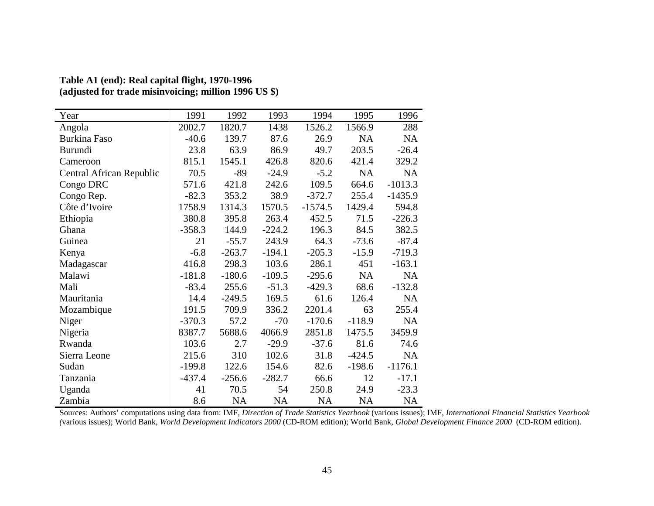| Year                     | 1991     | 1992      | 1993      | 1994      | 1995      | 1996      |
|--------------------------|----------|-----------|-----------|-----------|-----------|-----------|
| Angola                   | 2002.7   | 1820.7    | 1438      | 1526.2    | 1566.9    | 288       |
| <b>Burkina Faso</b>      | $-40.6$  | 139.7     | 87.6      | 26.9      | <b>NA</b> | <b>NA</b> |
| <b>Burundi</b>           | 23.8     | 63.9      | 86.9      | 49.7      | 203.5     | $-26.4$   |
| Cameroon                 | 815.1    | 1545.1    | 426.8     | 820.6     | 421.4     | 329.2     |
| Central African Republic | 70.5     | $-89$     | $-24.9$   | $-5.2$    | NA        | <b>NA</b> |
| Congo DRC                | 571.6    | 421.8     | 242.6     | 109.5     | 664.6     | $-1013.3$ |
| Congo Rep.               | $-82.3$  | 353.2     | 38.9      | $-372.7$  | 255.4     | $-1435.9$ |
| Côte d'Ivoire            | 1758.9   | 1314.3    | 1570.5    | $-1574.5$ | 1429.4    | 594.8     |
| Ethiopia                 | 380.8    | 395.8     | 263.4     | 452.5     | 71.5      | $-226.3$  |
| Ghana                    | $-358.3$ | 144.9     | $-224.2$  | 196.3     | 84.5      | 382.5     |
| Guinea                   | 21       | $-55.7$   | 243.9     | 64.3      | $-73.6$   | $-87.4$   |
| Kenya                    | $-6.8$   | $-263.7$  | $-194.1$  | $-205.3$  | $-15.9$   | $-719.3$  |
| Madagascar               | 416.8    | 298.3     | 103.6     | 286.1     | 451       | $-163.1$  |
| Malawi                   | $-181.8$ | $-180.6$  | $-109.5$  | $-295.6$  | <b>NA</b> | NA        |
| Mali                     | $-83.4$  | 255.6     | $-51.3$   | $-429.3$  | 68.6      | $-132.8$  |
| Mauritania               | 14.4     | $-249.5$  | 169.5     | 61.6      | 126.4     | <b>NA</b> |
| Mozambique               | 191.5    | 709.9     | 336.2     | 2201.4    | 63        | 255.4     |
| Niger                    | $-370.3$ | 57.2      | $-70$     | $-170.6$  | $-118.9$  | <b>NA</b> |
| Nigeria                  | 8387.7   | 5688.6    | 4066.9    | 2851.8    | 1475.5    | 3459.9    |
| Rwanda                   | 103.6    | 2.7       | $-29.9$   | $-37.6$   | 81.6      | 74.6      |
| Sierra Leone             | 215.6    | 310       | 102.6     | 31.8      | $-424.5$  | <b>NA</b> |
| Sudan                    | $-199.8$ | 122.6     | 154.6     | 82.6      | $-198.6$  | $-1176.1$ |
| Tanzania                 | $-437.4$ | $-256.6$  | $-282.7$  | 66.6      | 12        | $-17.1$   |
| Uganda                   | 41       | 70.5      | 54        | 250.8     | 24.9      | $-23.3$   |
| Zambia                   | 8.6      | <b>NA</b> | <b>NA</b> | <b>NA</b> | <b>NA</b> | <b>NA</b> |

## **Table A1 (end): Real capital flight, 1970-1996 (adjusted for trade misinvoicing; million 1996 US \$)**

Sources: Authors' computations using data from: IMF, *Direction of Trade Statistics Yearbook* (various issues); IMF, *International Financial Statistics Yearbook (*various issues); World Bank, *World Development Indicators 2000* (CD-ROM edition); World Bank, *Global Development Finance 2000* (CD-ROM edition).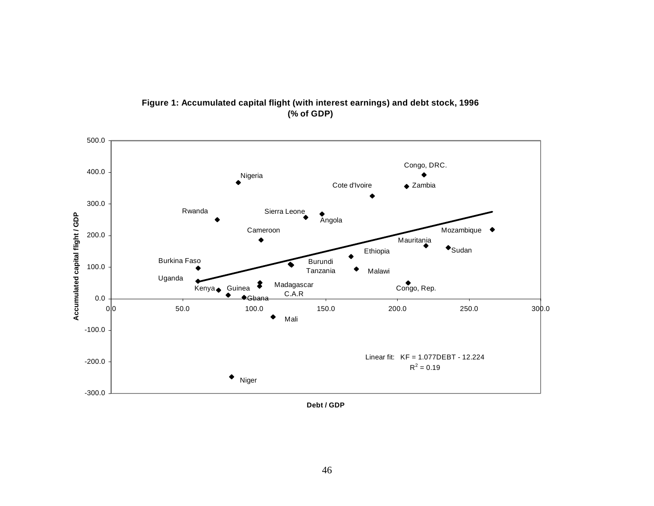

## **Figure 1: Accumulated capital flight (with interest earnings) and debt stock, 1996 (% of GDP)**

**Debt / GDP**